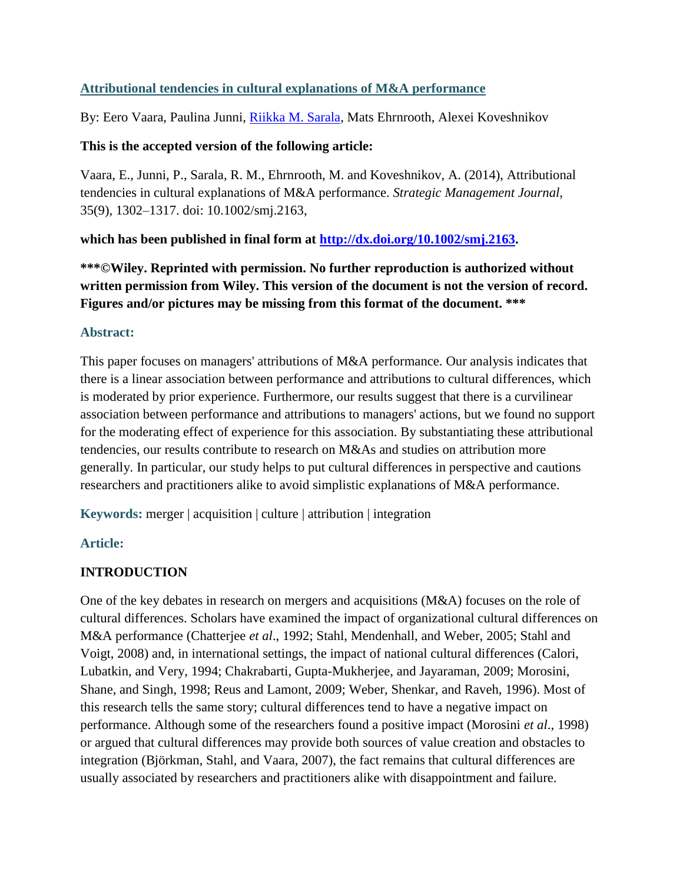### **Attributional tendencies in cultural explanations of M&A performance**

By: Eero Vaara, Paulina Junni, [Riikka M. Sarala,](http://libres.uncg.edu/ir/uncg/clist.aspx?id=3981) Mats Ehrnrooth, Alexei Koveshnikov

#### **This is the accepted version of the following article:**

Vaara, E., Junni, P., Sarala, R. M., Ehrnrooth, M. and Koveshnikov, A. (2014), Attributional tendencies in cultural explanations of M&A performance. *Strategic Management Journal,*  35(9), 1302–1317. doi: 10.1002/smj.2163,

**which has been published in final form at [http://dx.doi.org/10.1002/smj.2163.](http://dx.doi.org/10.1002/smj.2163)**

**\*\*\*©Wiley. Reprinted with permission. No further reproduction is authorized without written permission from Wiley. This version of the document is not the version of record. Figures and/or pictures may be missing from this format of the document. \*\*\***

#### **Abstract:**

This paper focuses on managers' attributions of M&A performance. Our analysis indicates that there is a linear association between performance and attributions to cultural differences, which is moderated by prior experience. Furthermore, our results suggest that there is a curvilinear association between performance and attributions to managers' actions, but we found no support for the moderating effect of experience for this association. By substantiating these attributional tendencies, our results contribute to research on M&As and studies on attribution more generally. In particular, our study helps to put cultural differences in perspective and cautions researchers and practitioners alike to avoid simplistic explanations of M&A performance.

**Keywords:** merger | acquisition | culture | attribution | integration

# **Article:**

# **INTRODUCTION**

One of the key debates in research on mergers and acquisitions (M&A) focuses on the role of cultural differences. Scholars have examined the impact of organizational cultural differences on M&A performance (Chatterjee *et al*., 1992; Stahl, Mendenhall, and Weber, 2005; Stahl and Voigt, 2008) and, in international settings, the impact of national cultural differences (Calori, Lubatkin, and Very, 1994; Chakrabarti, Gupta-Mukherjee, and Jayaraman, 2009; Morosini, Shane, and Singh, 1998; Reus and Lamont, 2009; Weber, Shenkar, and Raveh, 1996). Most of this research tells the same story; cultural differences tend to have a negative impact on performance. Although some of the researchers found a positive impact (Morosini *et al*., 1998) or argued that cultural differences may provide both sources of value creation and obstacles to integration (Björkman, Stahl, and Vaara, 2007), the fact remains that cultural differences are usually associated by researchers and practitioners alike with disappointment and failure.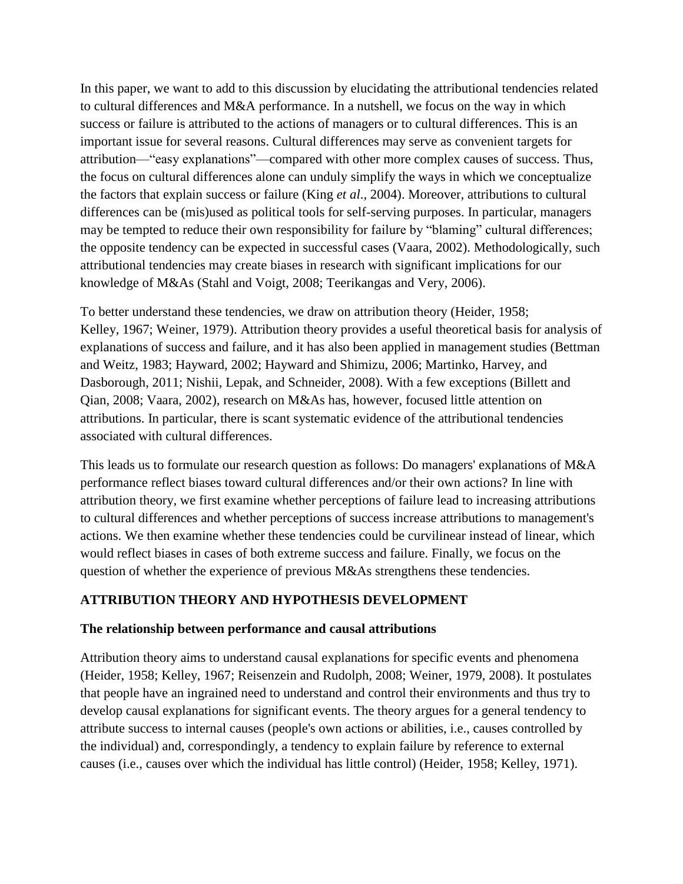In this paper, we want to add to this discussion by elucidating the attributional tendencies related to cultural differences and M&A performance. In a nutshell, we focus on the way in which success or failure is attributed to the actions of managers or to cultural differences. This is an important issue for several reasons. Cultural differences may serve as convenient targets for attribution—"easy explanations"—compared with other more complex causes of success. Thus, the focus on cultural differences alone can unduly simplify the ways in which we conceptualize the factors that explain success or failure (King *et al*., 2004). Moreover, attributions to cultural differences can be (mis)used as political tools for self-serving purposes. In particular, managers may be tempted to reduce their own responsibility for failure by "blaming" cultural differences; the opposite tendency can be expected in successful cases (Vaara, 2002). Methodologically, such attributional tendencies may create biases in research with significant implications for our knowledge of M&As (Stahl and Voigt, 2008; Teerikangas and Very, 2006).

To better understand these tendencies, we draw on attribution theory (Heider, 1958; Kelley, 1967; Weiner, 1979). Attribution theory provides a useful theoretical basis for analysis of explanations of success and failure, and it has also been applied in management studies (Bettman and Weitz, 1983; Hayward, 2002; Hayward and Shimizu, 2006; Martinko, Harvey, and Dasborough, 2011; Nishii, Lepak, and Schneider, 2008). With a few exceptions (Billett and Qian, 2008; Vaara, 2002), research on M&As has, however, focused little attention on attributions. In particular, there is scant systematic evidence of the attributional tendencies associated with cultural differences.

This leads us to formulate our research question as follows: Do managers' explanations of M&A performance reflect biases toward cultural differences and/or their own actions? In line with attribution theory, we first examine whether perceptions of failure lead to increasing attributions to cultural differences and whether perceptions of success increase attributions to management's actions. We then examine whether these tendencies could be curvilinear instead of linear, which would reflect biases in cases of both extreme success and failure. Finally, we focus on the question of whether the experience of previous M&As strengthens these tendencies.

# **ATTRIBUTION THEORY AND HYPOTHESIS DEVELOPMENT**

#### **The relationship between performance and causal attributions**

Attribution theory aims to understand causal explanations for specific events and phenomena (Heider, 1958; Kelley, 1967; Reisenzein and Rudolph, 2008; Weiner, 1979, 2008). It postulates that people have an ingrained need to understand and control their environments and thus try to develop causal explanations for significant events. The theory argues for a general tendency to attribute success to internal causes (people's own actions or abilities, i.e., causes controlled by the individual) and, correspondingly, a tendency to explain failure by reference to external causes (i.e., causes over which the individual has little control) (Heider, 1958; Kelley, 1971).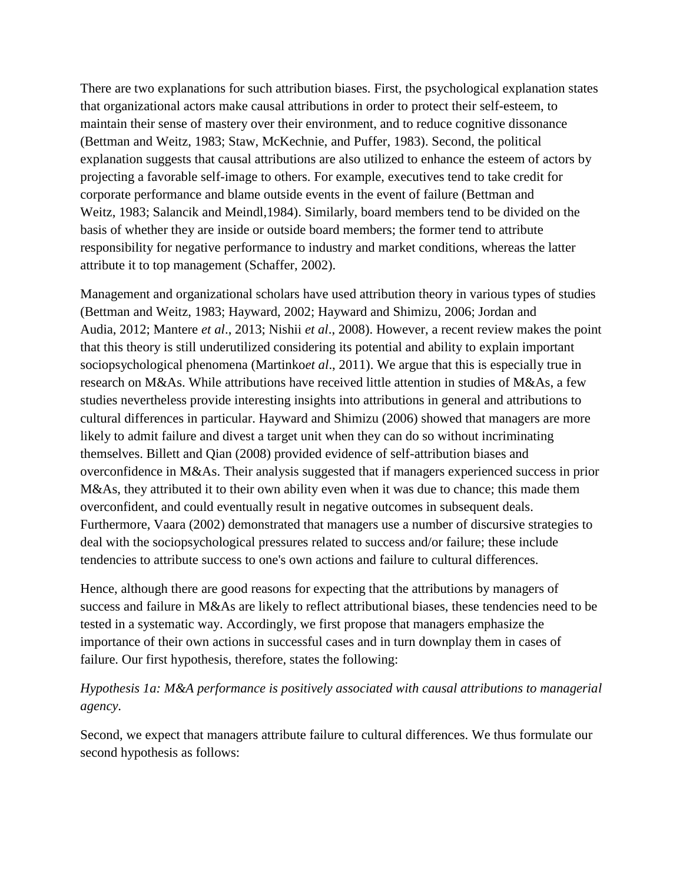There are two explanations for such attribution biases. First, the psychological explanation states that organizational actors make causal attributions in order to protect their self-esteem, to maintain their sense of mastery over their environment, and to reduce cognitive dissonance (Bettman and Weitz, 1983; Staw, McKechnie, and Puffer, 1983). Second, the political explanation suggests that causal attributions are also utilized to enhance the esteem of actors by projecting a favorable self-image to others. For example, executives tend to take credit for corporate performance and blame outside events in the event of failure (Bettman and Weitz, 1983; Salancik and Meindl,1984). Similarly, board members tend to be divided on the basis of whether they are inside or outside board members; the former tend to attribute responsibility for negative performance to industry and market conditions, whereas the latter attribute it to top management (Schaffer, 2002).

Management and organizational scholars have used attribution theory in various types of studies (Bettman and Weitz, 1983; Hayward, 2002; Hayward and Shimizu, 2006; Jordan and Audia, 2012; Mantere *et al*., 2013; Nishii *et al*., 2008). However, a recent review makes the point that this theory is still underutilized considering its potential and ability to explain important sociopsychological phenomena (Martinko*et al*., 2011). We argue that this is especially true in research on M&As. While attributions have received little attention in studies of M&As, a few studies nevertheless provide interesting insights into attributions in general and attributions to cultural differences in particular. Hayward and Shimizu (2006) showed that managers are more likely to admit failure and divest a target unit when they can do so without incriminating themselves. Billett and Qian (2008) provided evidence of self-attribution biases and overconfidence in M&As. Their analysis suggested that if managers experienced success in prior M&As, they attributed it to their own ability even when it was due to chance; this made them overconfident, and could eventually result in negative outcomes in subsequent deals. Furthermore, Vaara (2002) demonstrated that managers use a number of discursive strategies to deal with the sociopsychological pressures related to success and/or failure; these include tendencies to attribute success to one's own actions and failure to cultural differences.

Hence, although there are good reasons for expecting that the attributions by managers of success and failure in M&As are likely to reflect attributional biases, these tendencies need to be tested in a systematic way. Accordingly, we first propose that managers emphasize the importance of their own actions in successful cases and in turn downplay them in cases of failure. Our first hypothesis, therefore, states the following:

*Hypothesis 1a: M&A performance is positively associated with causal attributions to managerial agency*.

Second, we expect that managers attribute failure to cultural differences. We thus formulate our second hypothesis as follows: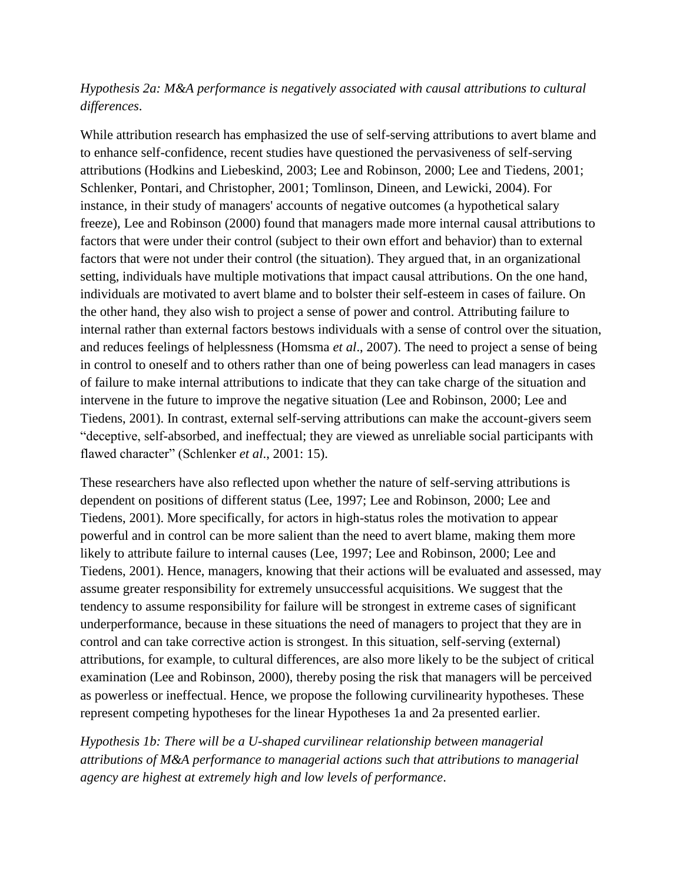# *Hypothesis 2a: M&A performance is negatively associated with causal attributions to cultural differences*.

While attribution research has emphasized the use of self-serving attributions to avert blame and to enhance self-confidence, recent studies have questioned the pervasiveness of self-serving attributions (Hodkins and Liebeskind, 2003; Lee and Robinson, 2000; Lee and Tiedens, 2001; Schlenker, Pontari, and Christopher, 2001; Tomlinson, Dineen, and Lewicki, 2004). For instance, in their study of managers' accounts of negative outcomes (a hypothetical salary freeze), Lee and Robinson (2000) found that managers made more internal causal attributions to factors that were under their control (subject to their own effort and behavior) than to external factors that were not under their control (the situation). They argued that, in an organizational setting, individuals have multiple motivations that impact causal attributions. On the one hand, individuals are motivated to avert blame and to bolster their self-esteem in cases of failure. On the other hand, they also wish to project a sense of power and control. Attributing failure to internal rather than external factors bestows individuals with a sense of control over the situation, and reduces feelings of helplessness (Homsma *et al*., 2007). The need to project a sense of being in control to oneself and to others rather than one of being powerless can lead managers in cases of failure to make internal attributions to indicate that they can take charge of the situation and intervene in the future to improve the negative situation (Lee and Robinson, 2000; Lee and Tiedens, 2001). In contrast, external self-serving attributions can make the account-givers seem "deceptive, self-absorbed, and ineffectual; they are viewed as unreliable social participants with flawed character" (Schlenker *et al*., 2001: 15).

These researchers have also reflected upon whether the nature of self-serving attributions is dependent on positions of different status (Lee, 1997; Lee and Robinson, 2000; Lee and Tiedens, 2001). More specifically, for actors in high-status roles the motivation to appear powerful and in control can be more salient than the need to avert blame, making them more likely to attribute failure to internal causes (Lee, 1997; Lee and Robinson, 2000; Lee and Tiedens, 2001). Hence, managers, knowing that their actions will be evaluated and assessed, may assume greater responsibility for extremely unsuccessful acquisitions. We suggest that the tendency to assume responsibility for failure will be strongest in extreme cases of significant underperformance, because in these situations the need of managers to project that they are in control and can take corrective action is strongest. In this situation, self-serving (external) attributions, for example, to cultural differences, are also more likely to be the subject of critical examination (Lee and Robinson, 2000), thereby posing the risk that managers will be perceived as powerless or ineffectual. Hence, we propose the following curvilinearity hypotheses. These represent competing hypotheses for the linear Hypotheses 1a and 2a presented earlier.

*Hypothesis 1b: There will be a U-shaped curvilinear relationship between managerial attributions of M&A performance to managerial actions such that attributions to managerial agency are highest at extremely high and low levels of performance*.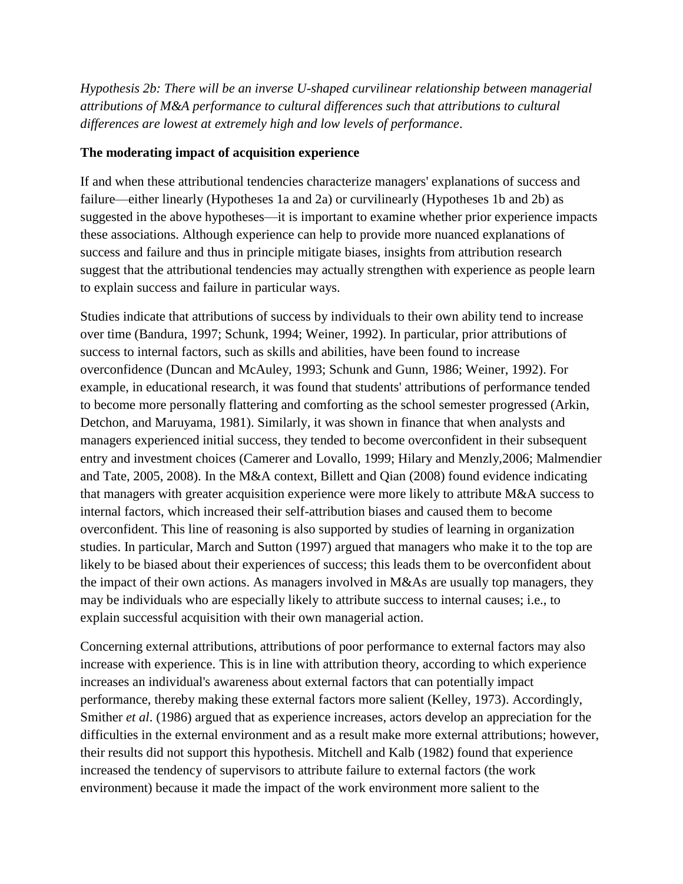*Hypothesis 2b: There will be an inverse U-shaped curvilinear relationship between managerial attributions of M&A performance to cultural differences such that attributions to cultural differences are lowest at extremely high and low levels of performance*.

#### **The moderating impact of acquisition experience**

If and when these attributional tendencies characterize managers' explanations of success and failure—either linearly (Hypotheses 1a and 2a) or curvilinearly (Hypotheses 1b and 2b) as suggested in the above hypotheses—it is important to examine whether prior experience impacts these associations. Although experience can help to provide more nuanced explanations of success and failure and thus in principle mitigate biases, insights from attribution research suggest that the attributional tendencies may actually strengthen with experience as people learn to explain success and failure in particular ways.

Studies indicate that attributions of success by individuals to their own ability tend to increase over time (Bandura, 1997; Schunk, 1994; Weiner, 1992). In particular, prior attributions of success to internal factors, such as skills and abilities, have been found to increase overconfidence (Duncan and McAuley, 1993; Schunk and Gunn, 1986; Weiner, 1992). For example, in educational research, it was found that students' attributions of performance tended to become more personally flattering and comforting as the school semester progressed (Arkin, Detchon, and Maruyama, 1981). Similarly, it was shown in finance that when analysts and managers experienced initial success, they tended to become overconfident in their subsequent entry and investment choices (Camerer and Lovallo, 1999; Hilary and Menzly,2006; Malmendier and Tate, 2005, 2008). In the M&A context, Billett and Qian (2008) found evidence indicating that managers with greater acquisition experience were more likely to attribute M&A success to internal factors, which increased their self-attribution biases and caused them to become overconfident. This line of reasoning is also supported by studies of learning in organization studies. In particular, March and Sutton (1997) argued that managers who make it to the top are likely to be biased about their experiences of success; this leads them to be overconfident about the impact of their own actions. As managers involved in M&As are usually top managers, they may be individuals who are especially likely to attribute success to internal causes; i.e., to explain successful acquisition with their own managerial action.

Concerning external attributions, attributions of poor performance to external factors may also increase with experience. This is in line with attribution theory, according to which experience increases an individual's awareness about external factors that can potentially impact performance, thereby making these external factors more salient (Kelley, 1973). Accordingly, Smither *et al*. (1986) argued that as experience increases, actors develop an appreciation for the difficulties in the external environment and as a result make more external attributions; however, their results did not support this hypothesis. Mitchell and Kalb (1982) found that experience increased the tendency of supervisors to attribute failure to external factors (the work environment) because it made the impact of the work environment more salient to the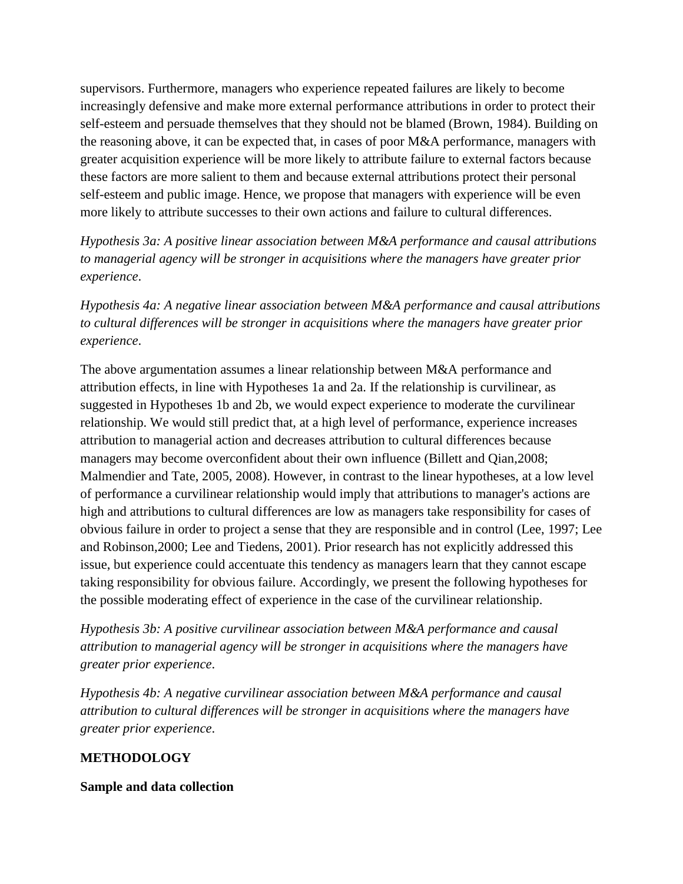supervisors. Furthermore, managers who experience repeated failures are likely to become increasingly defensive and make more external performance attributions in order to protect their self-esteem and persuade themselves that they should not be blamed (Brown, 1984). Building on the reasoning above, it can be expected that, in cases of poor M&A performance, managers with greater acquisition experience will be more likely to attribute failure to external factors because these factors are more salient to them and because external attributions protect their personal self-esteem and public image. Hence, we propose that managers with experience will be even more likely to attribute successes to their own actions and failure to cultural differences.

*Hypothesis 3a: A positive linear association between M&A performance and causal attributions to managerial agency will be stronger in acquisitions where the managers have greater prior experience*.

*Hypothesis 4a: A negative linear association between M&A performance and causal attributions to cultural differences will be stronger in acquisitions where the managers have greater prior experience*.

The above argumentation assumes a linear relationship between M&A performance and attribution effects, in line with Hypotheses 1a and 2a. If the relationship is curvilinear, as suggested in Hypotheses 1b and 2b, we would expect experience to moderate the curvilinear relationship. We would still predict that, at a high level of performance, experience increases attribution to managerial action and decreases attribution to cultural differences because managers may become overconfident about their own influence (Billett and Qian,2008; Malmendier and Tate, 2005, 2008). However, in contrast to the linear hypotheses, at a low level of performance a curvilinear relationship would imply that attributions to manager's actions are high and attributions to cultural differences are low as managers take responsibility for cases of obvious failure in order to project a sense that they are responsible and in control (Lee, 1997; Lee and Robinson,2000; Lee and Tiedens, 2001). Prior research has not explicitly addressed this issue, but experience could accentuate this tendency as managers learn that they cannot escape taking responsibility for obvious failure. Accordingly, we present the following hypotheses for the possible moderating effect of experience in the case of the curvilinear relationship.

*Hypothesis 3b: A positive curvilinear association between M&A performance and causal attribution to managerial agency will be stronger in acquisitions where the managers have greater prior experience*.

*Hypothesis 4b: A negative curvilinear association between M&A performance and causal attribution to cultural differences will be stronger in acquisitions where the managers have greater prior experience*.

#### **METHODOLOGY**

#### **Sample and data collection**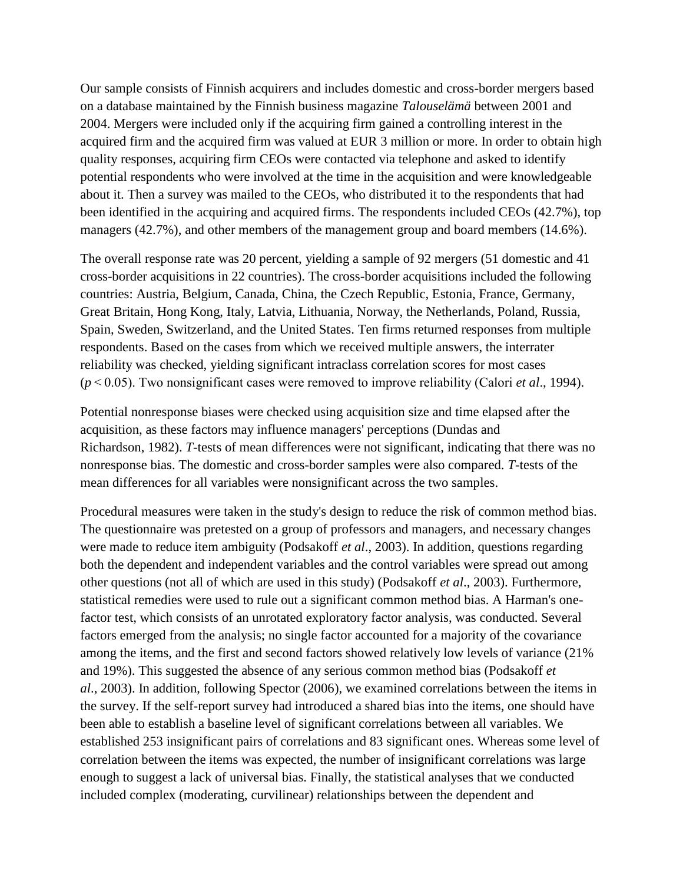Our sample consists of Finnish acquirers and includes domestic and cross-border mergers based on a database maintained by the Finnish business magazine *Talouselämä* between 2001 and 2004. Mergers were included only if the acquiring firm gained a controlling interest in the acquired firm and the acquired firm was valued at EUR 3 million or more. In order to obtain high quality responses, acquiring firm CEOs were contacted via telephone and asked to identify potential respondents who were involved at the time in the acquisition and were knowledgeable about it. Then a survey was mailed to the CEOs, who distributed it to the respondents that had been identified in the acquiring and acquired firms. The respondents included CEOs (42.7%), top managers (42.7%), and other members of the management group and board members (14.6%).

The overall response rate was 20 percent, yielding a sample of 92 mergers (51 domestic and 41 cross-border acquisitions in 22 countries). The cross-border acquisitions included the following countries: Austria, Belgium, Canada, China, the Czech Republic, Estonia, France, Germany, Great Britain, Hong Kong, Italy, Latvia, Lithuania, Norway, the Netherlands, Poland, Russia, Spain, Sweden, Switzerland, and the United States. Ten firms returned responses from multiple respondents. Based on the cases from which we received multiple answers, the interrater reliability was checked, yielding significant intraclass correlation scores for most cases (*p* < 0.05). Two nonsignificant cases were removed to improve reliability (Calori *et al*., 1994).

Potential nonresponse biases were checked using acquisition size and time elapsed after the acquisition, as these factors may influence managers' perceptions (Dundas and Richardson, 1982). *T*-tests of mean differences were not significant, indicating that there was no nonresponse bias. The domestic and cross-border samples were also compared. *T*-tests of the mean differences for all variables were nonsignificant across the two samples.

Procedural measures were taken in the study's design to reduce the risk of common method bias. The questionnaire was pretested on a group of professors and managers, and necessary changes were made to reduce item ambiguity (Podsakoff *et al*., 2003). In addition, questions regarding both the dependent and independent variables and the control variables were spread out among other questions (not all of which are used in this study) (Podsakoff *et al*., 2003). Furthermore, statistical remedies were used to rule out a significant common method bias. A Harman's onefactor test, which consists of an unrotated exploratory factor analysis, was conducted. Several factors emerged from the analysis; no single factor accounted for a majority of the covariance among the items, and the first and second factors showed relatively low levels of variance (21% and 19%). This suggested the absence of any serious common method bias (Podsakoff *et al*., 2003). In addition, following Spector (2006), we examined correlations between the items in the survey. If the self-report survey had introduced a shared bias into the items, one should have been able to establish a baseline level of significant correlations between all variables. We established 253 insignificant pairs of correlations and 83 significant ones. Whereas some level of correlation between the items was expected, the number of insignificant correlations was large enough to suggest a lack of universal bias. Finally, the statistical analyses that we conducted included complex (moderating, curvilinear) relationships between the dependent and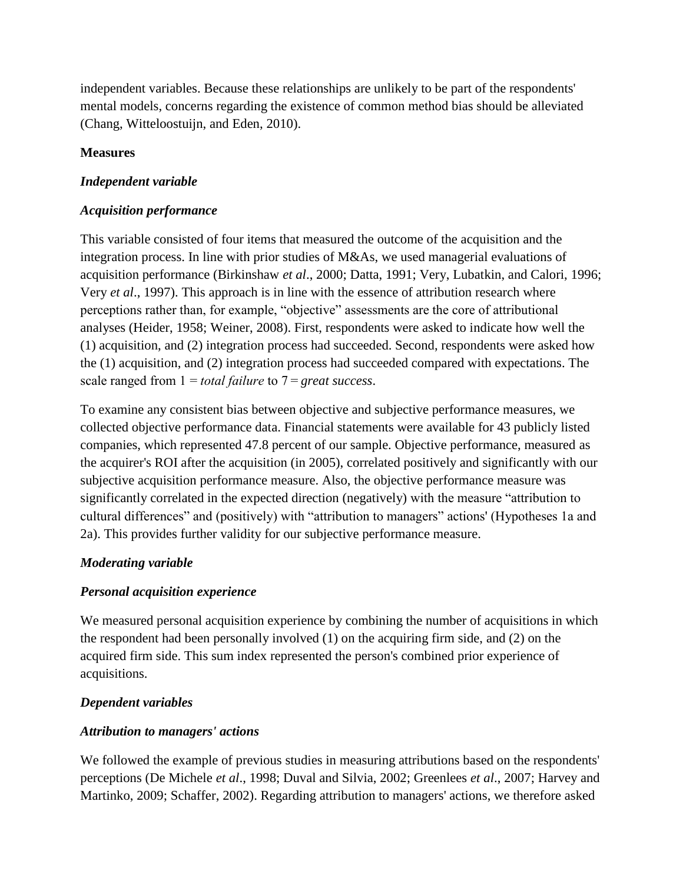independent variables. Because these relationships are unlikely to be part of the respondents' mental models, concerns regarding the existence of common method bias should be alleviated (Chang, Witteloostuijn, and Eden, 2010).

#### **Measures**

### *Independent variable*

### *Acquisition performance*

This variable consisted of four items that measured the outcome of the acquisition and the integration process. In line with prior studies of M&As, we used managerial evaluations of acquisition performance (Birkinshaw *et al*., 2000; Datta, 1991; Very, Lubatkin, and Calori, 1996; Very *et al*., 1997). This approach is in line with the essence of attribution research where perceptions rather than, for example, "objective" assessments are the core of attributional analyses (Heider, 1958; Weiner, 2008). First, respondents were asked to indicate how well the (1) acquisition, and (2) integration process had succeeded. Second, respondents were asked how the (1) acquisition, and (2) integration process had succeeded compared with expectations. The scale ranged from 1 *= total failure* to 7 = *great success*.

To examine any consistent bias between objective and subjective performance measures, we collected objective performance data. Financial statements were available for 43 publicly listed companies, which represented 47.8 percent of our sample. Objective performance, measured as the acquirer's ROI after the acquisition (in 2005), correlated positively and significantly with our subjective acquisition performance measure. Also, the objective performance measure was significantly correlated in the expected direction (negatively) with the measure "attribution to cultural differences" and (positively) with "attribution to managers" actions' (Hypotheses 1a and 2a). This provides further validity for our subjective performance measure.

# *Moderating variable*

# *Personal acquisition experience*

We measured personal acquisition experience by combining the number of acquisitions in which the respondent had been personally involved (1) on the acquiring firm side, and (2) on the acquired firm side. This sum index represented the person's combined prior experience of acquisitions.

# *Dependent variables*

# *Attribution to managers' actions*

We followed the example of previous studies in measuring attributions based on the respondents' perceptions (De Michele *et al*., 1998; Duval and Silvia, 2002; Greenlees *et al*., 2007; Harvey and Martinko, 2009; Schaffer, 2002). Regarding attribution to managers' actions, we therefore asked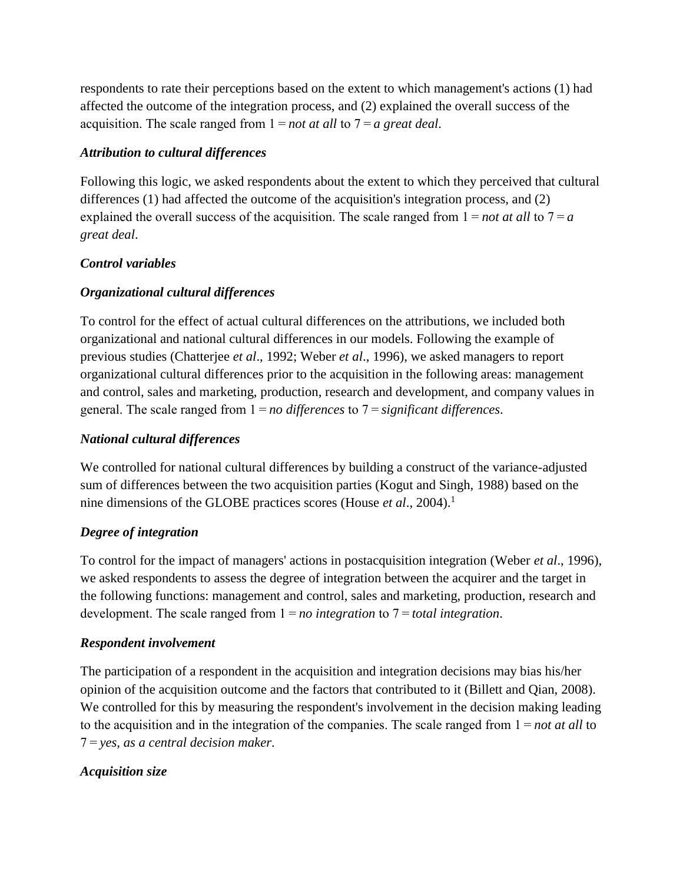respondents to rate their perceptions based on the extent to which management's actions (1) had affected the outcome of the integration process, and (2) explained the overall success of the acquisition. The scale ranged from 1 = *not at all* to 7 = *a great deal*.

#### *Attribution to cultural differences*

Following this logic, we asked respondents about the extent to which they perceived that cultural differences (1) had affected the outcome of the acquisition's integration process, and (2) explained the overall success of the acquisition. The scale ranged from  $1 = not$  *at all* to  $7 = a$ *great deal*.

# *Control variables*

# *Organizational cultural differences*

To control for the effect of actual cultural differences on the attributions, we included both organizational and national cultural differences in our models. Following the example of previous studies (Chatterjee *et al*., 1992; Weber *et al*., 1996), we asked managers to report organizational cultural differences prior to the acquisition in the following areas: management and control, sales and marketing, production, research and development, and company values in general. The scale ranged from 1 = *no differences* to 7 = *significant differences*.

### *National cultural differences*

We controlled for national cultural differences by building a construct of the variance-adjusted sum of differences between the two acquisition parties (Kogut and Singh, 1988) based on the nine dimensions of the GLOBE practices scores (House *et al.*, 2004).<sup>1</sup>

#### *Degree of integration*

To control for the impact of managers' actions in postacquisition integration (Weber *et al*., 1996), we asked respondents to assess the degree of integration between the acquirer and the target in the following functions: management and control, sales and marketing, production, research and development. The scale ranged from 1 = *no integration* to 7 = *total integration*.

#### *Respondent involvement*

The participation of a respondent in the acquisition and integration decisions may bias his/her opinion of the acquisition outcome and the factors that contributed to it (Billett and Qian, 2008). We controlled for this by measuring the respondent's involvement in the decision making leading to the acquisition and in the integration of the companies. The scale ranged from 1 = *not at all* to 7 = *yes, as a central decision maker*.

#### *Acquisition size*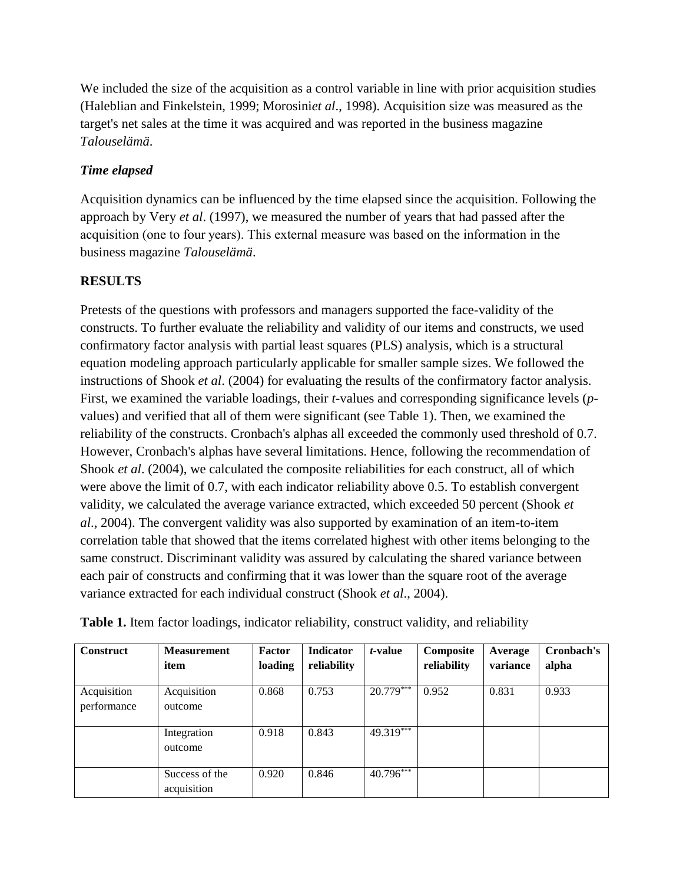We included the size of the acquisition as a control variable in line with prior acquisition studies (Haleblian and Finkelstein, 1999; Morosini*et al*., 1998). Acquisition size was measured as the target's net sales at the time it was acquired and was reported in the business magazine *Talouselämä*.

#### *Time elapsed*

Acquisition dynamics can be influenced by the time elapsed since the acquisition. Following the approach by Very *et al*. (1997), we measured the number of years that had passed after the acquisition (one to four years). This external measure was based on the information in the business magazine *Talouselämä*.

### **RESULTS**

Pretests of the questions with professors and managers supported the face-validity of the constructs. To further evaluate the reliability and validity of our items and constructs, we used confirmatory factor analysis with partial least squares (PLS) analysis, which is a structural equation modeling approach particularly applicable for smaller sample sizes. We followed the instructions of Shook *et al*. (2004) for evaluating the results of the confirmatory factor analysis. First, we examined the variable loadings, their *t*-values and corresponding significance levels (*p*values) and verified that all of them were significant (see Table 1). Then, we examined the reliability of the constructs. Cronbach's alphas all exceeded the commonly used threshold of 0.7. However, Cronbach's alphas have several limitations. Hence, following the recommendation of Shook *et al.* (2004), we calculated the composite reliabilities for each construct, all of which were above the limit of 0.7, with each indicator reliability above 0.5. To establish convergent validity, we calculated the average variance extracted, which exceeded 50 percent (Shook *et al*., 2004). The convergent validity was also supported by examination of an item-to-item correlation table that showed that the items correlated highest with other items belonging to the same construct. Discriminant validity was assured by calculating the shared variance between each pair of constructs and confirming that it was lower than the square root of the average variance extracted for each individual construct (Shook *et al*., 2004).

| <b>Construct</b>           | <b>Measurement</b><br>item    | <b>Factor</b><br>loading | <b>Indicator</b><br>reliability | t-value     | Composite<br>reliability | Average<br>variance | Cronbach's<br>alpha |
|----------------------------|-------------------------------|--------------------------|---------------------------------|-------------|--------------------------|---------------------|---------------------|
| Acquisition<br>performance | Acquisition<br>outcome        | 0.868                    | 0.753                           | $20.779***$ | 0.952                    | 0.831               | 0.933               |
|                            | Integration<br>outcome        | 0.918                    | 0.843                           | $49.319***$ |                          |                     |                     |
|                            | Success of the<br>acquisition | 0.920                    | 0.846                           | 40.796***   |                          |                     |                     |

**Table 1.** Item factor loadings, indicator reliability, construct validity, and reliability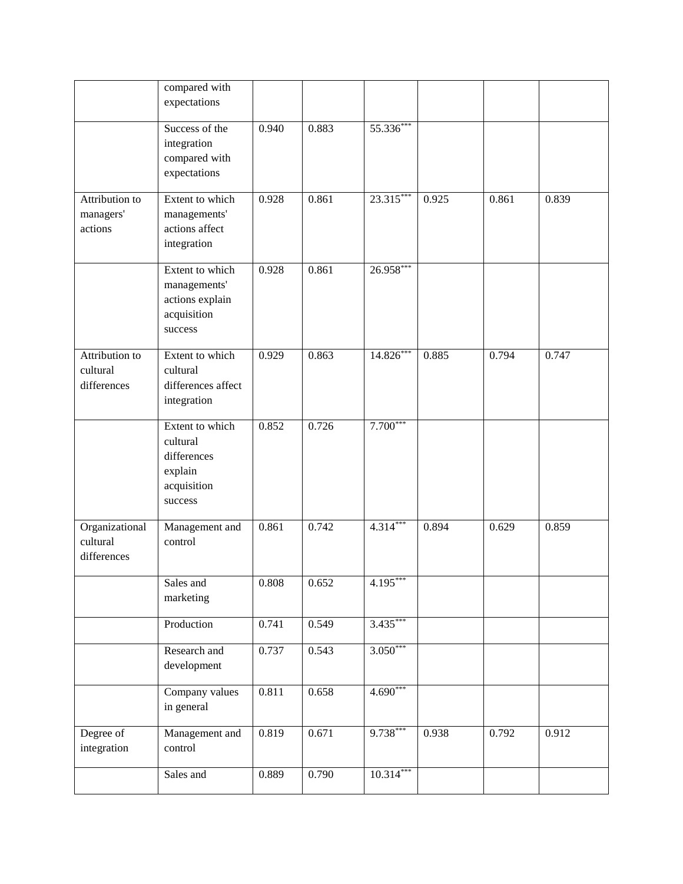|                                           | compared with<br>expectations                                                   |       |       |             |       |       |       |
|-------------------------------------------|---------------------------------------------------------------------------------|-------|-------|-------------|-------|-------|-------|
|                                           | Success of the<br>integration<br>compared with<br>expectations                  | 0.940 | 0.883 | 55.336***   |       |       |       |
| Attribution to<br>managers'<br>actions    | Extent to which<br>managements'<br>actions affect<br>integration                | 0.928 | 0.861 | 23.315***   | 0.925 | 0.861 | 0.839 |
|                                           | Extent to which<br>managements'<br>actions explain<br>acquisition<br>success    | 0.928 | 0.861 | $26.958***$ |       |       |       |
| Attribution to<br>cultural<br>differences | Extent to which<br>cultural<br>differences affect<br>integration                | 0.929 | 0.863 | 14.826***   | 0.885 | 0.794 | 0.747 |
|                                           | Extent to which<br>cultural<br>differences<br>explain<br>acquisition<br>success | 0.852 | 0.726 | $7.700***$  |       |       |       |
| Organizational<br>cultural<br>differences | Management and<br>control                                                       | 0.861 | 0.742 | $4.314***$  | 0.894 | 0.629 | 0.859 |
|                                           | Sales and<br>marketing                                                          | 0.808 | 0.652 | $4.195**$   |       |       |       |
|                                           | Production                                                                      | 0.741 | 0.549 | $3.435***$  |       |       |       |
|                                           | Research and<br>development                                                     | 0.737 | 0.543 | $3.050***$  |       |       |       |
|                                           | Company values<br>in general                                                    | 0.811 | 0.658 | $4.690***$  |       |       |       |
| Degree of<br>integration                  | Management and<br>control                                                       | 0.819 | 0.671 | 9.738***    | 0.938 | 0.792 | 0.912 |
|                                           | Sales and                                                                       | 0.889 | 0.790 | $10.314***$ |       |       |       |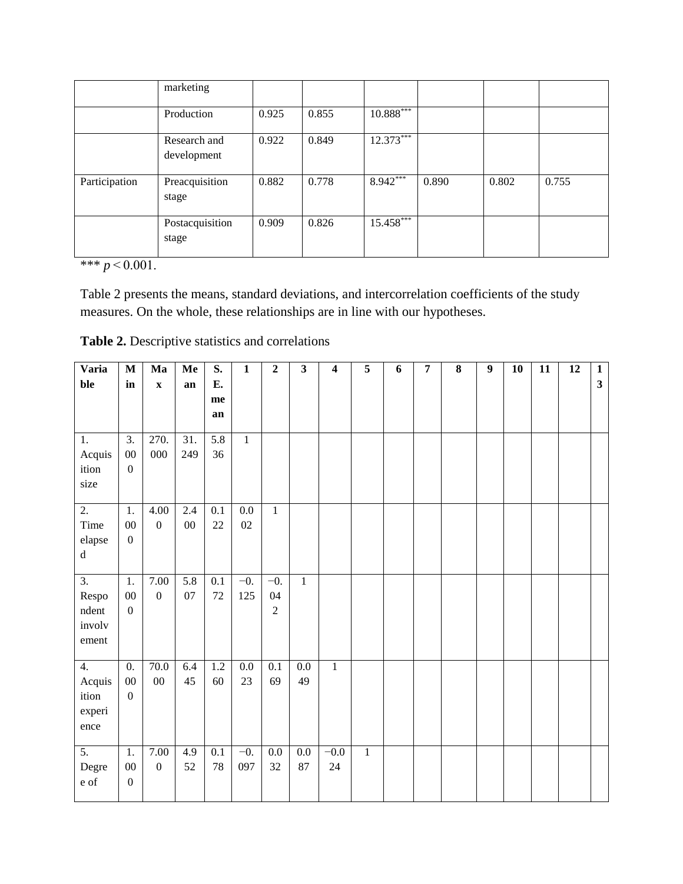|               | marketing                   |       |       |             |       |       |       |
|---------------|-----------------------------|-------|-------|-------------|-------|-------|-------|
|               | Production                  | 0.925 | 0.855 | $10.888***$ |       |       |       |
|               | Research and<br>development | 0.922 | 0.849 | $12.373***$ |       |       |       |
| Participation | Preacquisition<br>stage     | 0.882 | 0.778 | 8.942***    | 0.890 | 0.802 | 0.755 |
|               | Postacquisition<br>stage    | 0.909 | 0.826 | $15.458***$ |       |       |       |

\*\*\*  $p < 0.001$ .

Table 2 presents the means, standard deviations, and intercorrelation coefficients of the study measures. On the whole, these relationships are in line with our hypotheses.

| <b>Varia</b>                                  | $\mathbf M$      | Ma                | ${\bf Me}$        | S.               | $\mathbf{1}$   | $\overline{2}$   | $\overline{\mathbf{3}}$ | $\overline{\mathbf{4}}$ | 5            | 6 | $\overline{7}$ | 8 | $\boldsymbol{9}$ | 10 | 11 | 12 | $\mathbf{1}$ |
|-----------------------------------------------|------------------|-------------------|-------------------|------------------|----------------|------------------|-------------------------|-------------------------|--------------|---|----------------|---|------------------|----|----|----|--------------|
| ble                                           | in               | $\mathbf X$       | an                | E.               |                |                  |                         |                         |              |   |                |   |                  |    |    |    | $\mathbf{3}$ |
|                                               |                  |                   |                   | me               |                |                  |                         |                         |              |   |                |   |                  |    |    |    |              |
|                                               |                  |                   |                   | an               |                |                  |                         |                         |              |   |                |   |                  |    |    |    |              |
|                                               |                  |                   |                   |                  |                |                  |                         |                         |              |   |                |   |                  |    |    |    |              |
| 1.                                            | $\overline{3}$ . | 270.              | $\overline{31}$ . | $\overline{5.8}$ | $\overline{1}$ |                  |                         |                         |              |   |                |   |                  |    |    |    |              |
| Acquis                                        | $00\,$           | $000\,$           | 249               | 36               |                |                  |                         |                         |              |   |                |   |                  |    |    |    |              |
| ition                                         | $\boldsymbol{0}$ |                   |                   |                  |                |                  |                         |                         |              |   |                |   |                  |    |    |    |              |
| size                                          |                  |                   |                   |                  |                |                  |                         |                         |              |   |                |   |                  |    |    |    |              |
|                                               |                  |                   |                   |                  |                |                  |                         |                         |              |   |                |   |                  |    |    |    |              |
| 2.                                            | 1.               | 4.00              | $2.4\,$           | 0.1              | $0.0\,$        | $\mathbf{1}$     |                         |                         |              |   |                |   |                  |    |    |    |              |
| Time                                          | $00\,$           | $\boldsymbol{0}$  | $00\,$            | 22               | 02             |                  |                         |                         |              |   |                |   |                  |    |    |    |              |
| elapse                                        | $\mathbf{0}$     |                   |                   |                  |                |                  |                         |                         |              |   |                |   |                  |    |    |    |              |
| $\mathrm{d}% \left\  \mathbf{G}\right\  ^{2}$ |                  |                   |                   |                  |                |                  |                         |                         |              |   |                |   |                  |    |    |    |              |
|                                               |                  |                   |                   |                  |                |                  |                         |                         |              |   |                |   |                  |    |    |    |              |
| $\overline{3}$ .                              | 1.               | 7.00              | 5.8               | 0.1              | $-0.$          | $-0.$            | $\,1\,$                 |                         |              |   |                |   |                  |    |    |    |              |
| Respo                                         | ${\bf 00}$       | $\boldsymbol{0}$  | 07                | $72\,$           | 125            | 04               |                         |                         |              |   |                |   |                  |    |    |    |              |
| ndent                                         | $\boldsymbol{0}$ |                   |                   |                  |                | $\boldsymbol{2}$ |                         |                         |              |   |                |   |                  |    |    |    |              |
| involv                                        |                  |                   |                   |                  |                |                  |                         |                         |              |   |                |   |                  |    |    |    |              |
| ement                                         |                  |                   |                   |                  |                |                  |                         |                         |              |   |                |   |                  |    |    |    |              |
| 4.                                            | $\overline{0}$ . | 70.0              | 6.4               | 1.2              | 0.0            | $0.1\,$          | $\overline{0.0}$        | $\overline{1}$          |              |   |                |   |                  |    |    |    |              |
| Acquis                                        | $00\,$           | $00\,$            | 45                | 60               | 23             | 69               | 49                      |                         |              |   |                |   |                  |    |    |    |              |
| ition                                         | $\boldsymbol{0}$ |                   |                   |                  |                |                  |                         |                         |              |   |                |   |                  |    |    |    |              |
| experi                                        |                  |                   |                   |                  |                |                  |                         |                         |              |   |                |   |                  |    |    |    |              |
| ence                                          |                  |                   |                   |                  |                |                  |                         |                         |              |   |                |   |                  |    |    |    |              |
|                                               |                  |                   |                   |                  |                |                  |                         |                         |              |   |                |   |                  |    |    |    |              |
| $\overline{5}$ .                              | 1.               | $\overline{7.00}$ | 4.9               | 0.1              | $-0.$          | $0.0\,$          | $0.0\,$                 | $-0.0$                  | $\mathbf{1}$ |   |                |   |                  |    |    |    |              |
| $\operatorname{Degree}$                       | $00\,$           | $\boldsymbol{0}$  | 52                | 78               | 097            | 32               | 87                      | 24                      |              |   |                |   |                  |    |    |    |              |
| $\boldsymbol{\rm e}$ of                       | $\boldsymbol{0}$ |                   |                   |                  |                |                  |                         |                         |              |   |                |   |                  |    |    |    |              |
|                                               |                  |                   |                   |                  |                |                  |                         |                         |              |   |                |   |                  |    |    |    |              |

**Table 2.** Descriptive statistics and correlations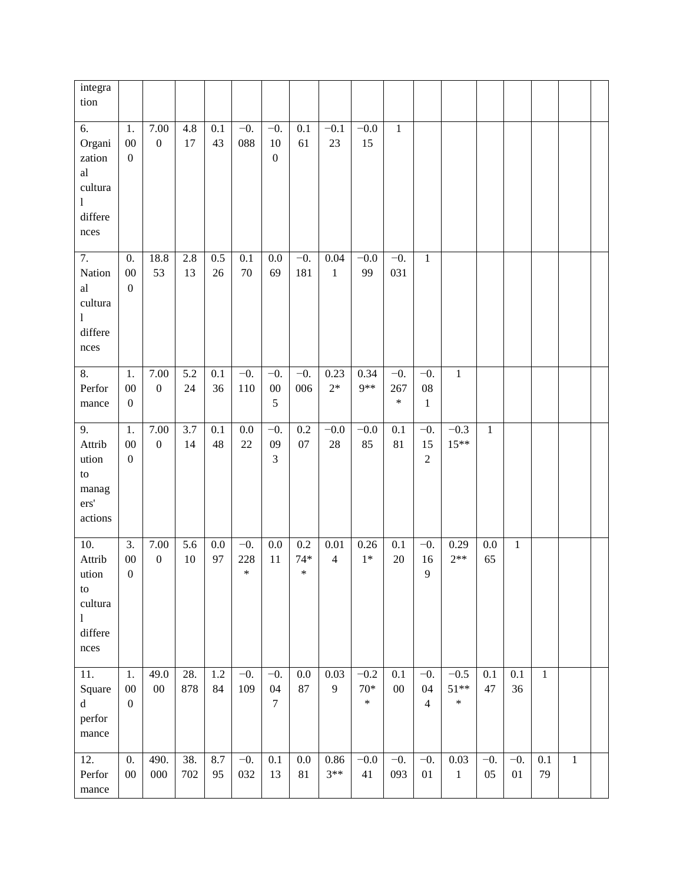| integra<br>tion                                                               |                                                |                                       |            |               |                        |                                 |                        |                        |                                      |                        |                                     |                            |                 |             |              |              |  |
|-------------------------------------------------------------------------------|------------------------------------------------|---------------------------------------|------------|---------------|------------------------|---------------------------------|------------------------|------------------------|--------------------------------------|------------------------|-------------------------------------|----------------------------|-----------------|-------------|--------------|--------------|--|
| 6.<br>Organi<br>zation<br>al<br>cultura<br>1<br>differe<br>nces               | 1.<br>$00\,$<br>$\boldsymbol{0}$               | 7.00<br>$\boldsymbol{0}$              | 4.8<br>17  | 0.1<br>43     | $-0.$<br>088           | $-0.$<br>10<br>$\boldsymbol{0}$ | 0.1<br>61              | $-0.1$<br>23           | $-0.0$<br>15                         | $\mathbf{1}$           |                                     |                            |                 |             |              |              |  |
| 7.<br>Nation<br>al<br>cultura<br>1<br>differe<br>nces                         | $\overline{0}$ .<br>$00\,$<br>$\boldsymbol{0}$ | 18.8<br>53                            | 2.8<br>13  | 0.5<br>26     | 0.1<br>$70\,$          | 0.0<br>69                       | $-0.$<br>181           | 0.04<br>$\,1$          | $-0.0$<br>99                         | $-0.$<br>031           | $\mathbf{1}$                        |                            |                 |             |              |              |  |
| 8.<br>Perfor<br>mance                                                         | 1.<br>$00\,$<br>$\boldsymbol{0}$               | 7.00<br>$\boldsymbol{0}$              | 5.2<br>24  | 0.1<br>36     | $-0.$<br>110           | $-0.$<br>$00\,$<br>5            | $-0.$<br>006           | 0.23<br>$2*$           | 0.34<br>9**                          | $-0.$<br>267<br>$\ast$ | $-0.$<br>${\bf 08}$<br>$\mathbf{1}$ | $\,1$                      |                 |             |              |              |  |
| $\overline{9}$ .<br>Attrib<br>ution<br>${\rm to}$<br>manag<br>ers'<br>actions | 1.<br>$00\,$<br>$\boldsymbol{0}$               | $\overline{7.00}$<br>$\boldsymbol{0}$ | 3.7<br>14  | 0.1<br>48     | $0.0\,$<br>22          | $-0.$<br>09<br>3                | 0.2<br>07              | $-0.0$<br>28           | $-0.0$<br>85                         | 0.1<br>81              | $-0.$<br>15<br>$\overline{2}$       | $-0.3$<br>$15***$          | $\mathbf{1}$    |             |              |              |  |
| 10.<br>Attrib<br>ution<br>to<br>cultura<br>1<br>differe<br>nces               | 3.<br>$00\,$<br>$\mathbf{0}$                   | 7.00<br>$\boldsymbol{0}$              | 5.6<br>10  | $0.0\,$<br>97 | $-0.$<br>228<br>$\ast$ | 0.0<br>11                       | 0.2<br>$74*$<br>$\ast$ | 0.01<br>$\overline{4}$ | 0.26<br>$1*$                         | 0.1<br>$20\,$          | $-0.$<br>16<br>9                    | 0.29<br>$2**$              | $0.0\,$<br>65   | $1\,$       |              |              |  |
| 11.<br>Square<br>$\mathbf d$<br>perfor<br>mance                               | 1.<br>$00\,$<br>$\mathbf{0}$                   | 49.0<br>$00\,$                        | 28.<br>878 | $1.2\,$<br>84 | $-0.$<br>109           | $-0.$<br>04<br>$\tau$           | $0.0\,$<br>87          | 0.03<br>$\overline{9}$ | $-0.\overline{2}$<br>$70*$<br>$\ast$ | 0.1<br>$00\,$          | $-0.$<br>04<br>$\overline{4}$       | $-0.5$<br>$51**$<br>$\ast$ | 0.1<br>47       | 0.1<br>36   | $\mathbf{1}$ |              |  |
| 12.<br>Perfor<br>mance                                                        | $\overline{0}$ .<br>$00\,$                     | 490.<br>000                           | 38.<br>702 | 8.7<br>95     | $-0.$<br>032           | 0.1<br>13                       | $0.0\,$<br>81          | 0.86<br>$3**$          | $-0.0$<br>41                         | $-0.$<br>093           | $-0.$<br>$01\,$                     | 0.03<br>$\mathbf{1}$       | $-0.$<br>$05\,$ | $-0.$<br>01 | 0.1<br>79    | $\mathbf{1}$ |  |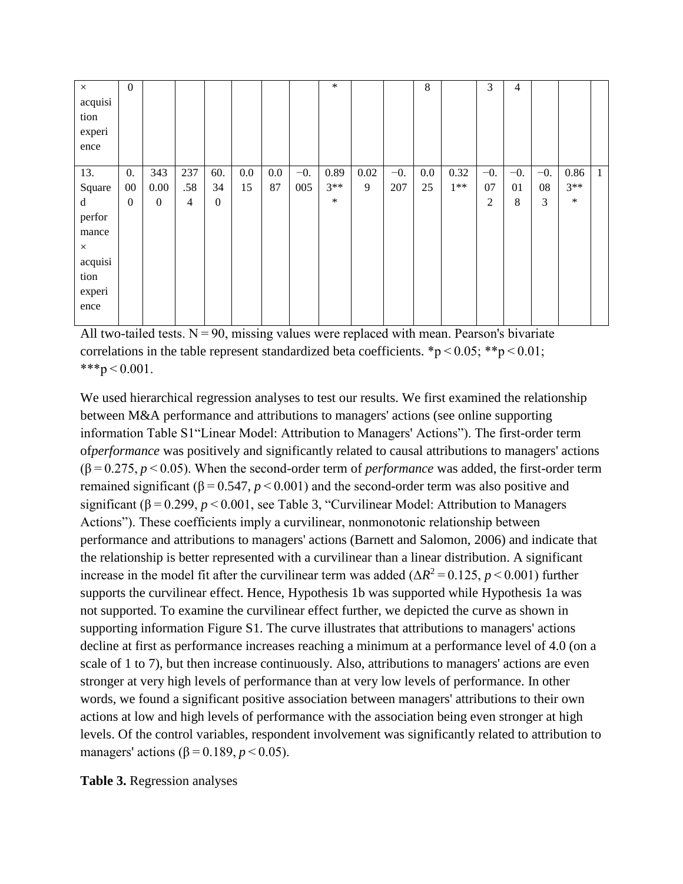| $\times$ | $\mathbf{0}$     |              |     |                  |     |         |       | $\ast$ |      |       | 8   |        | 3              | $\overline{4}$ |       |        |              |
|----------|------------------|--------------|-----|------------------|-----|---------|-------|--------|------|-------|-----|--------|----------------|----------------|-------|--------|--------------|
| acquisi  |                  |              |     |                  |     |         |       |        |      |       |     |        |                |                |       |        |              |
| tion     |                  |              |     |                  |     |         |       |        |      |       |     |        |                |                |       |        |              |
| experi   |                  |              |     |                  |     |         |       |        |      |       |     |        |                |                |       |        |              |
| ence     |                  |              |     |                  |     |         |       |        |      |       |     |        |                |                |       |        |              |
|          |                  |              |     |                  |     |         |       |        |      |       |     |        |                |                |       |        |              |
| 13.      | $\overline{0}$ . | 343          | 237 | 60.              | 0.0 | $0.0\,$ | $-0.$ | 0.89   | 0.02 | $-0.$ | 0.0 | 0.32   | $-0.$          | $-0.$          | $-0.$ | 0.86   | $\mathbf{1}$ |
| Square   | $00\,$           | 0.00         | .58 | 34               | 15  | 87      | 005   | $3**$  | 9    | 207   | 25  | $1***$ | 07             | 01             | 08    | $3**$  |              |
| d        | $\mathbf{0}$     | $\mathbf{0}$ | 4   | $\boldsymbol{0}$ |     |         |       | $\ast$ |      |       |     |        | $\mathfrak{2}$ | 8              | 3     | $\ast$ |              |
| perfor   |                  |              |     |                  |     |         |       |        |      |       |     |        |                |                |       |        |              |
| mance    |                  |              |     |                  |     |         |       |        |      |       |     |        |                |                |       |        |              |
| $\times$ |                  |              |     |                  |     |         |       |        |      |       |     |        |                |                |       |        |              |
| acquisi  |                  |              |     |                  |     |         |       |        |      |       |     |        |                |                |       |        |              |
| tion     |                  |              |     |                  |     |         |       |        |      |       |     |        |                |                |       |        |              |
| experi   |                  |              |     |                  |     |         |       |        |      |       |     |        |                |                |       |        |              |
| ence     |                  |              |     |                  |     |         |       |        |      |       |     |        |                |                |       |        |              |
|          |                  |              |     |                  |     |         |       |        |      |       |     |        |                |                |       |        |              |

All two-tailed tests.  $N = 90$ , missing values were replaced with mean. Pearson's bivariate correlations in the table represent standardized beta coefficients. \*p $\leq 0.05$ ; \*\*p $\leq 0.01$ ; \*\*\*p $< 0.001$ .

We used hierarchical regression analyses to test our results. We first examined the relationship between M&A performance and attributions to managers' actions (see online supporting information Table S1"Linear Model: Attribution to Managers' Actions"). The first-order term of*performance* was positively and significantly related to causal attributions to managers' actions (β = 0.275, *p* < 0.05). When the second-order term of *performance* was added, the first-order term remained significant ( $β = 0.547$ ,  $p < 0.001$ ) and the second-order term was also positive and significant (β = 0.299, *p* < 0.001, see Table 3, "Curvilinear Model: Attribution to Managers Actions"). These coefficients imply a curvilinear, nonmonotonic relationship between performance and attributions to managers' actions (Barnett and Salomon, 2006) and indicate that the relationship is better represented with a curvilinear than a linear distribution. A significant increase in the model fit after the curvilinear term was added ( $\Delta R^2$  = 0.125, *p* < 0.001) further supports the curvilinear effect. Hence, Hypothesis 1b was supported while Hypothesis 1a was not supported. To examine the curvilinear effect further, we depicted the curve as shown in supporting information Figure S1. The curve illustrates that attributions to managers' actions decline at first as performance increases reaching a minimum at a performance level of 4.0 (on a scale of 1 to 7), but then increase continuously. Also, attributions to managers' actions are even stronger at very high levels of performance than at very low levels of performance. In other words, we found a significant positive association between managers' attributions to their own actions at low and high levels of performance with the association being even stronger at high levels. Of the control variables, respondent involvement was significantly related to attribution to managers' actions ( $\beta$  = 0.189,  $p$  < 0.05).

**Table 3.** Regression analyses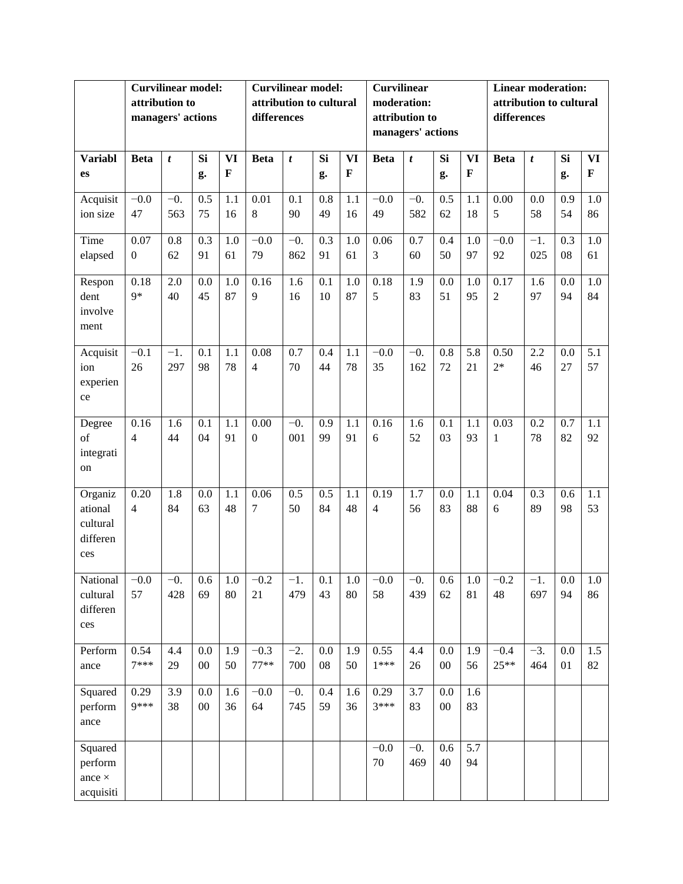|                | <b>Curvilinear model:</b> |                   |                  |             | <b>Curvilinear model:</b> |                         |                  |         | <b>Curvilinear</b> |                   |         |                  | <b>Linear moderation:</b> |                  |         |             |  |
|----------------|---------------------------|-------------------|------------------|-------------|---------------------------|-------------------------|------------------|---------|--------------------|-------------------|---------|------------------|---------------------------|------------------|---------|-------------|--|
|                |                           | attribution to    |                  |             |                           | attribution to cultural |                  |         | moderation:        |                   |         |                  | attribution to cultural   |                  |         |             |  |
|                |                           | managers' actions |                  |             | differences               |                         |                  |         | attribution to     |                   |         |                  | differences               |                  |         |             |  |
|                |                           |                   |                  |             |                           |                         |                  |         | managers' actions  |                   |         |                  |                           |                  |         |             |  |
|                |                           |                   |                  |             |                           |                         |                  |         |                    |                   |         |                  |                           |                  |         |             |  |
| <b>Variabl</b> | <b>Beta</b>               | $\boldsymbol{t}$  | Si               | <b>VI</b>   | <b>Beta</b>               | $\boldsymbol{t}$        | Si               | VI      | <b>Beta</b>        | $\boldsymbol{t}$  | Si      | <b>VI</b>        | <b>Beta</b>               | $\boldsymbol{t}$ | Si      | <b>VI</b>   |  |
| es             |                           |                   | g.               | $\mathbf F$ |                           |                         | g.               | F       |                    |                   | g.      | $\mathbf F$      |                           |                  | g.      | $\mathbf F$ |  |
|                |                           |                   |                  |             |                           |                         |                  |         |                    |                   |         |                  |                           |                  |         |             |  |
| Acquisit       | $-0.0$                    | $-0.$             | 0.5              | 1.1         | 0.01                      | 0.1                     | 0.8              | 1.1     | $-0.0$             | $-0.$             | 0.5     | 1.1              | 0.00                      | 0.0              | 0.9     | 1.0         |  |
| ion size       | 47                        | 563               | 75               | 16          | 8                         | 90                      | 49               | 16      | 49                 | 582               | 62      | 18               | 5                         | 58               | 54      | 86          |  |
| Time           | 0.07                      | 0.8               | $\overline{0.3}$ | 1.0         | $-0.0$                    | $-0.$                   | 0.3              | 1.0     | 0.06               | $\overline{0.7}$  | 0.4     | 1.0              | $-0.0$                    | $-1.$            | 0.3     | 1.0         |  |
| elapsed        | $\boldsymbol{0}$          | 62                | 91               | 61          | 79                        | 862                     | 91               | 61      | 3                  | 60                | 50      | 97               | 92                        | 025              | 08      | 61          |  |
|                |                           |                   |                  |             |                           |                         |                  |         |                    |                   |         |                  |                           |                  |         |             |  |
| Respon         | 0.18                      | 2.0               | 0.0              | 1.0         | 0.16                      | 1.6                     | 0.1              | 1.0     | 0.18               | 1.9               | 0.0     | 1.0              | 0.17                      | 1.6              | 0.0     | 1.0         |  |
| dent           | $9*$                      | 40                | 45               | 87          | 9                         | 16                      | 10               | 87      | 5                  | 83                | 51      | 95               | $\mathfrak{2}$            | 97               | 94      | 84          |  |
| involve        |                           |                   |                  |             |                           |                         |                  |         |                    |                   |         |                  |                           |                  |         |             |  |
| ment           |                           |                   |                  |             |                           |                         |                  |         |                    |                   |         |                  |                           |                  |         |             |  |
|                |                           |                   |                  |             |                           |                         |                  |         |                    |                   |         |                  |                           |                  |         |             |  |
| Acquisit       | $-0.1$                    | $-1.$             | 0.1              | 1.1         | 0.08                      | 0.7                     | 0.4              | 1.1     | $-0.0$             | $-0.$             | 0.8     | 5.8              | 0.50                      | 2.2              | 0.0     | 5.1         |  |
| ion            | 26                        | 297               | 98               | 78          | $\overline{4}$            | 70                      | 44               | 78      | 35                 | 162               | 72      | 21               | $2*$                      | 46               | 27      | 57          |  |
| experien       |                           |                   |                  |             |                           |                         |                  |         |                    |                   |         |                  |                           |                  |         |             |  |
| ce             |                           |                   |                  |             |                           |                         |                  |         |                    |                   |         |                  |                           |                  |         |             |  |
|                |                           |                   |                  |             |                           |                         |                  |         |                    |                   |         |                  |                           |                  |         |             |  |
| Degree         | 0.16                      | 1.6               | 0.1              | 1.1         | 0.00                      | $-0.$                   | 0.9              | 1.1     | 0.16               | 1.6               | 0.1     | 1.1              | 0.03                      | 0.2              | 0.7     | 1.1         |  |
| of             | $\overline{4}$            | 44                | 04               | 91          | $\boldsymbol{0}$          | 001                     | 99               | 91      | 6                  | 52                | 03      | 93               | $\mathbf{1}$              | 78               | 82      | 92          |  |
| integrati      |                           |                   |                  |             |                           |                         |                  |         |                    |                   |         |                  |                           |                  |         |             |  |
| on             |                           |                   |                  |             |                           |                         |                  |         |                    |                   |         |                  |                           |                  |         |             |  |
| Organiz        | 0.20                      | 1.8               | 0.0              | 1.1         | 0.06                      | 0.5                     | $\overline{0.5}$ | 1.1     | 0.19               | 1.7               | 0.0     | 1.1              | 0.04                      | 0.3              | 0.6     | 1.1         |  |
| ational        | $\overline{4}$            | 84                | 63               | 48          | 7                         | 50                      | 84               | 48      | $\overline{4}$     | 56                | 83      | 88               | 6                         | 89               | 98      | 53          |  |
| cultural       |                           |                   |                  |             |                           |                         |                  |         |                    |                   |         |                  |                           |                  |         |             |  |
| differen       |                           |                   |                  |             |                           |                         |                  |         |                    |                   |         |                  |                           |                  |         |             |  |
| ces            |                           |                   |                  |             |                           |                         |                  |         |                    |                   |         |                  |                           |                  |         |             |  |
|                |                           |                   |                  |             |                           |                         |                  |         |                    |                   |         |                  |                           |                  |         |             |  |
| National       | $-0.0$                    | $-0.$             | $0.6\,$          | 1.0         | $-0.2$                    | $-1.$                   | 0.1              | $1.0\,$ | $-0.0$             | $-0.$             | $0.6\,$ | 1.0              | $-0.2$                    | $-1.$            | $0.0\,$ | $1.0\,$     |  |
| cultural       | 57                        | 428               | 69               | 80          | 21                        | 479                     | 43               | 80      | 58                 | 439               | 62      | 81               | 48                        | 697              | 94      | 86          |  |
| differen       |                           |                   |                  |             |                           |                         |                  |         |                    |                   |         |                  |                           |                  |         |             |  |
| ces            |                           |                   |                  |             |                           |                         |                  |         |                    |                   |         |                  |                           |                  |         |             |  |
|                |                           |                   |                  |             |                           |                         |                  |         |                    |                   |         |                  |                           |                  |         |             |  |
| Perform        | 0.54<br>$7***$            | 4.4               | 0.0              | 1.9         | $-0.3$<br>$77***$         | $-2.$<br>700            | 0.0              | 1.9     | 0.55<br>$1***$     | 4.4               | 0.0     | 1.9              | $-0.4$                    | $-3.$            | 0.0     | 1.5         |  |
| ance           |                           | 29                | $00\,$           | 50          |                           |                         | 08               | 50      |                    | 26                | $00\,$  | 56               | 25**                      | 464              | 01      | 82          |  |
| Squared        | 0.29                      | 3.9               | 0.0              | 1.6         | $-0.0$                    | $-0.$                   | 0.4              | 1.6     | 0.29               | 3.7               | 0.0     | 1.6              |                           |                  |         |             |  |
| perform        | 9***                      | 38                | $00\,$           | 36          | 64                        | 745                     | 59               | 36      | $3***$             | 83                | $00\,$  | 83               |                           |                  |         |             |  |
| ance           |                           |                   |                  |             |                           |                         |                  |         |                    |                   |         |                  |                           |                  |         |             |  |
|                |                           |                   |                  |             |                           |                         |                  |         |                    |                   |         |                  |                           |                  |         |             |  |
| Squared        |                           |                   |                  |             |                           |                         |                  |         | $-0.0$             | $\overline{-0}$ . | 0.6     | $\overline{5.7}$ |                           |                  |         |             |  |
| perform        |                           |                   |                  |             |                           |                         |                  |         | 70                 | 469               | 40      | 94               |                           |                  |         |             |  |
| ance $\times$  |                           |                   |                  |             |                           |                         |                  |         |                    |                   |         |                  |                           |                  |         |             |  |
| acquisiti      |                           |                   |                  |             |                           |                         |                  |         |                    |                   |         |                  |                           |                  |         |             |  |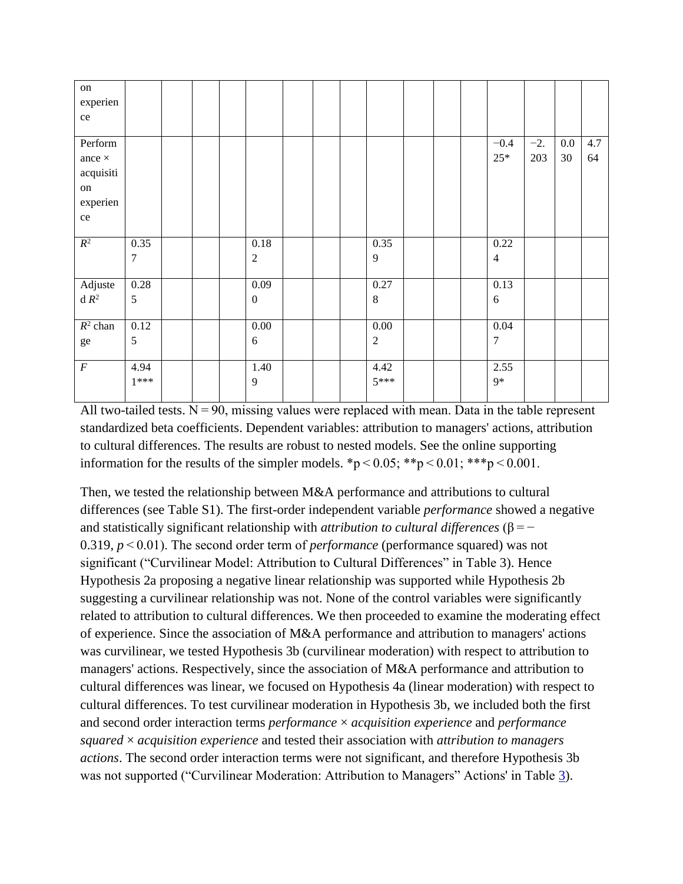| on<br>experien<br>ce |                |  |                  |  |                |  |                |       |         |     |
|----------------------|----------------|--|------------------|--|----------------|--|----------------|-------|---------|-----|
| Perform              |                |  |                  |  |                |  | $-0.4$         | $-2.$ | $0.0\,$ | 4.7 |
| ance $\times$        |                |  |                  |  |                |  | $25*$          | 203   | 30      | 64  |
| acquisiti            |                |  |                  |  |                |  |                |       |         |     |
| on                   |                |  |                  |  |                |  |                |       |         |     |
| experien             |                |  |                  |  |                |  |                |       |         |     |
| $\rm{ce}$            |                |  |                  |  |                |  |                |       |         |     |
| $R^2$                | 0.35           |  | 0.18             |  | 0.35           |  | 0.22           |       |         |     |
|                      | $\overline{7}$ |  | $\boldsymbol{2}$ |  | $\overline{9}$ |  | $\overline{4}$ |       |         |     |
| Adjuste              | 0.28           |  | 0.09             |  | 0.27           |  | 0.13           |       |         |     |
| d $\mathbb{R}^2$     | 5              |  | $\boldsymbol{0}$ |  | $\,8\,$        |  | 6              |       |         |     |
| $R^2$ chan           | 0.12           |  | 0.00             |  | 0.00           |  | 0.04           |       |         |     |
| ${\rm ge}$           | 5              |  | 6                |  | $\sqrt{2}$     |  | 7              |       |         |     |
| $\cal F$             | 4.94           |  | 1.40             |  | 4.42           |  | 2.55           |       |         |     |
|                      | $1***$         |  | 9                |  | $5***$         |  | $9*$           |       |         |     |

All two-tailed tests.  $N = 90$ , missing values were replaced with mean. Data in the table represent standardized beta coefficients. Dependent variables: attribution to managers' actions, attribution to cultural differences. The results are robust to nested models. See the online supporting information for the results of the simpler models. \*p $<0.05$ ; \*\*p $<0.01$ ; \*\*\*p $<0.001$ .

Then, we tested the relationship between M&A performance and attributions to cultural differences (see Table S1). The first-order independent variable *performance* showed a negative and statistically significant relationship with *attribution to cultural differences* (β = − 0.319,  $p < 0.01$ ). The second order term of *performance* (performance squared) was not significant ("Curvilinear Model: Attribution to Cultural Differences" in Table 3). Hence Hypothesis 2a proposing a negative linear relationship was supported while Hypothesis 2b suggesting a curvilinear relationship was not. None of the control variables were significantly related to attribution to cultural differences. We then proceeded to examine the moderating effect of experience. Since the association of M&A performance and attribution to managers' actions was curvilinear, we tested Hypothesis 3b (curvilinear moderation) with respect to attribution to managers' actions. Respectively, since the association of M&A performance and attribution to cultural differences was linear, we focused on Hypothesis 4a (linear moderation) with respect to cultural differences. To test curvilinear moderation in Hypothesis 3b, we included both the first and second order interaction terms *performance* × *acquisition experience* and *performance squared* × *acquisition experience* and tested their association with *attribution to managers actions*. The second order interaction terms were not significant, and therefore Hypothesis 3b was not supported ("Curvilinear Moderation: Attribution to Managers" Actions' in Table [3\)](http://onlinelibrary.wiley.com/doi/10.1002/smj.2163/full#smj2163-tbl-0003).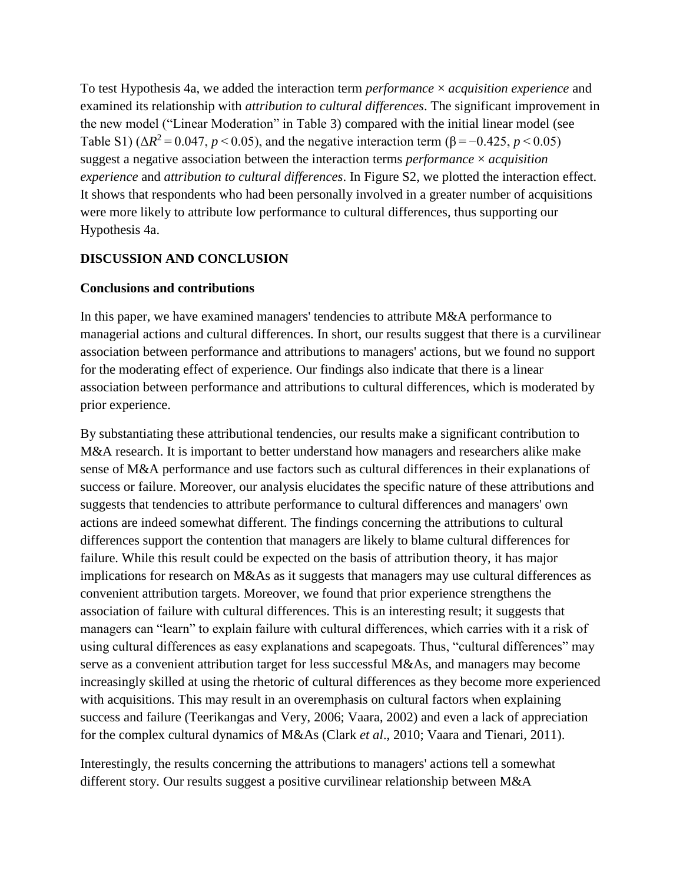To test Hypothesis 4a, we added the interaction term *performance* × *acquisition experience* and examined its relationship with *attribution to cultural differences*. The significant improvement in the new model ("Linear Moderation" in Table 3) compared with the initial linear model (see Table S1) ( $\Delta R^2 = 0.047$ ,  $p < 0.05$ ), and the negative interaction term ( $\beta = -0.425$ ,  $p < 0.05$ ) suggest a negative association between the interaction terms *performance* × *acquisition experience* and *attribution to cultural differences*. In Figure S2, we plotted the interaction effect. It shows that respondents who had been personally involved in a greater number of acquisitions were more likely to attribute low performance to cultural differences, thus supporting our Hypothesis 4a.

#### **DISCUSSION AND CONCLUSION**

#### **Conclusions and contributions**

In this paper, we have examined managers' tendencies to attribute M&A performance to managerial actions and cultural differences. In short, our results suggest that there is a curvilinear association between performance and attributions to managers' actions, but we found no support for the moderating effect of experience. Our findings also indicate that there is a linear association between performance and attributions to cultural differences, which is moderated by prior experience.

By substantiating these attributional tendencies, our results make a significant contribution to M&A research. It is important to better understand how managers and researchers alike make sense of M&A performance and use factors such as cultural differences in their explanations of success or failure. Moreover, our analysis elucidates the specific nature of these attributions and suggests that tendencies to attribute performance to cultural differences and managers' own actions are indeed somewhat different. The findings concerning the attributions to cultural differences support the contention that managers are likely to blame cultural differences for failure. While this result could be expected on the basis of attribution theory, it has major implications for research on M&As as it suggests that managers may use cultural differences as convenient attribution targets. Moreover, we found that prior experience strengthens the association of failure with cultural differences. This is an interesting result; it suggests that managers can "learn" to explain failure with cultural differences, which carries with it a risk of using cultural differences as easy explanations and scapegoats. Thus, "cultural differences" may serve as a convenient attribution target for less successful M&As, and managers may become increasingly skilled at using the rhetoric of cultural differences as they become more experienced with acquisitions. This may result in an overemphasis on cultural factors when explaining success and failure (Teerikangas and Very, 2006; Vaara, 2002) and even a lack of appreciation for the complex cultural dynamics of M&As (Clark *et al*., 2010; Vaara and Tienari, 2011).

Interestingly, the results concerning the attributions to managers' actions tell a somewhat different story. Our results suggest a positive curvilinear relationship between M&A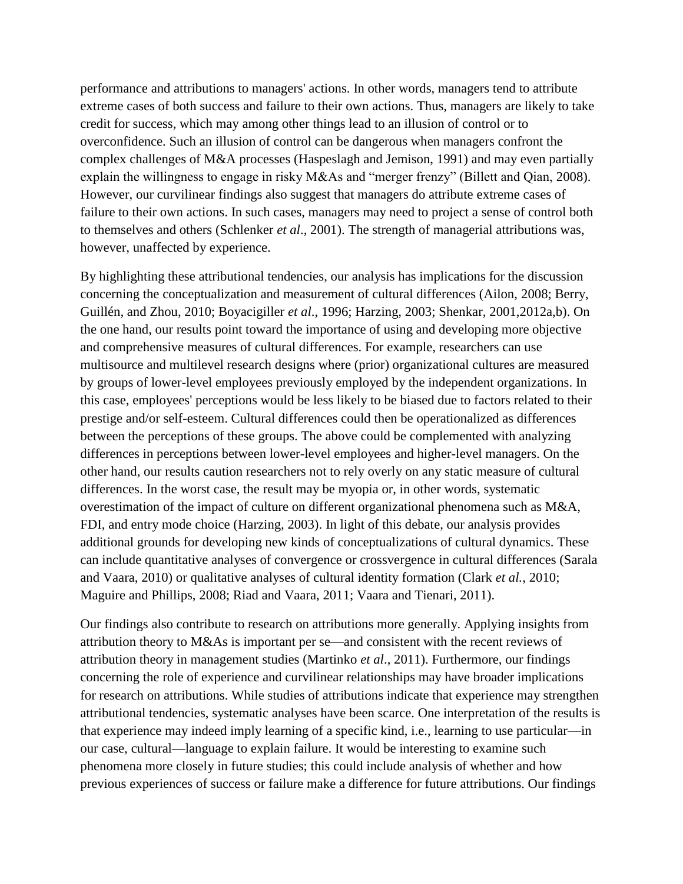performance and attributions to managers' actions. In other words, managers tend to attribute extreme cases of both success and failure to their own actions. Thus, managers are likely to take credit for success, which may among other things lead to an illusion of control or to overconfidence. Such an illusion of control can be dangerous when managers confront the complex challenges of M&A processes (Haspeslagh and Jemison, 1991) and may even partially explain the willingness to engage in risky M&As and "merger frenzy" (Billett and Qian, 2008). However, our curvilinear findings also suggest that managers do attribute extreme cases of failure to their own actions. In such cases, managers may need to project a sense of control both to themselves and others (Schlenker *et al*., 2001). The strength of managerial attributions was, however, unaffected by experience.

By highlighting these attributional tendencies, our analysis has implications for the discussion concerning the conceptualization and measurement of cultural differences (Ailon, 2008; Berry, Guillén, and Zhou, 2010; Boyacigiller *et al*., 1996; Harzing, 2003; Shenkar, 2001,2012a,b). On the one hand, our results point toward the importance of using and developing more objective and comprehensive measures of cultural differences. For example, researchers can use multisource and multilevel research designs where (prior) organizational cultures are measured by groups of lower-level employees previously employed by the independent organizations. In this case, employees' perceptions would be less likely to be biased due to factors related to their prestige and/or self-esteem. Cultural differences could then be operationalized as differences between the perceptions of these groups. The above could be complemented with analyzing differences in perceptions between lower-level employees and higher-level managers. On the other hand, our results caution researchers not to rely overly on any static measure of cultural differences. In the worst case, the result may be myopia or, in other words, systematic overestimation of the impact of culture on different organizational phenomena such as M&A, FDI, and entry mode choice (Harzing, 2003). In light of this debate, our analysis provides additional grounds for developing new kinds of conceptualizations of cultural dynamics. These can include quantitative analyses of convergence or crossvergence in cultural differences (Sarala and Vaara, 2010) or qualitative analyses of cultural identity formation (Clark *et al.*, 2010; Maguire and Phillips, 2008; Riad and Vaara, 2011; Vaara and Tienari, 2011).

Our findings also contribute to research on attributions more generally. Applying insights from attribution theory to M&As is important per se—and consistent with the recent reviews of attribution theory in management studies (Martinko *et al*., 2011). Furthermore, our findings concerning the role of experience and curvilinear relationships may have broader implications for research on attributions. While studies of attributions indicate that experience may strengthen attributional tendencies, systematic analyses have been scarce. One interpretation of the results is that experience may indeed imply learning of a specific kind, i.e., learning to use particular—in our case, cultural—language to explain failure. It would be interesting to examine such phenomena more closely in future studies; this could include analysis of whether and how previous experiences of success or failure make a difference for future attributions. Our findings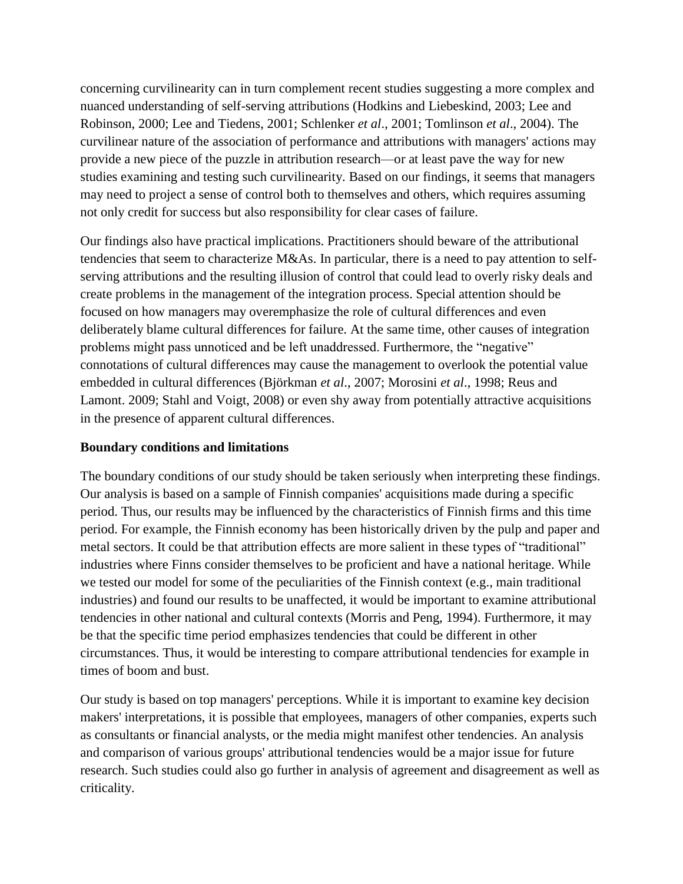concerning curvilinearity can in turn complement recent studies suggesting a more complex and nuanced understanding of self-serving attributions (Hodkins and Liebeskind, 2003; Lee and Robinson, 2000; Lee and Tiedens, 2001; Schlenker *et al*., 2001; Tomlinson *et al*., 2004). The curvilinear nature of the association of performance and attributions with managers' actions may provide a new piece of the puzzle in attribution research—or at least pave the way for new studies examining and testing such curvilinearity. Based on our findings, it seems that managers may need to project a sense of control both to themselves and others, which requires assuming not only credit for success but also responsibility for clear cases of failure.

Our findings also have practical implications. Practitioners should beware of the attributional tendencies that seem to characterize M&As. In particular, there is a need to pay attention to selfserving attributions and the resulting illusion of control that could lead to overly risky deals and create problems in the management of the integration process. Special attention should be focused on how managers may overemphasize the role of cultural differences and even deliberately blame cultural differences for failure. At the same time, other causes of integration problems might pass unnoticed and be left unaddressed. Furthermore, the "negative" connotations of cultural differences may cause the management to overlook the potential value embedded in cultural differences (Björkman *et al*., 2007; Morosini *et al*., 1998; Reus and Lamont. 2009; Stahl and Voigt, 2008) or even shy away from potentially attractive acquisitions in the presence of apparent cultural differences.

#### **Boundary conditions and limitations**

The boundary conditions of our study should be taken seriously when interpreting these findings. Our analysis is based on a sample of Finnish companies' acquisitions made during a specific period. Thus, our results may be influenced by the characteristics of Finnish firms and this time period. For example, the Finnish economy has been historically driven by the pulp and paper and metal sectors. It could be that attribution effects are more salient in these types of "traditional" industries where Finns consider themselves to be proficient and have a national heritage. While we tested our model for some of the peculiarities of the Finnish context (e.g., main traditional industries) and found our results to be unaffected, it would be important to examine attributional tendencies in other national and cultural contexts (Morris and Peng, 1994). Furthermore, it may be that the specific time period emphasizes tendencies that could be different in other circumstances. Thus, it would be interesting to compare attributional tendencies for example in times of boom and bust.

Our study is based on top managers' perceptions. While it is important to examine key decision makers' interpretations, it is possible that employees, managers of other companies, experts such as consultants or financial analysts, or the media might manifest other tendencies. An analysis and comparison of various groups' attributional tendencies would be a major issue for future research. Such studies could also go further in analysis of agreement and disagreement as well as criticality.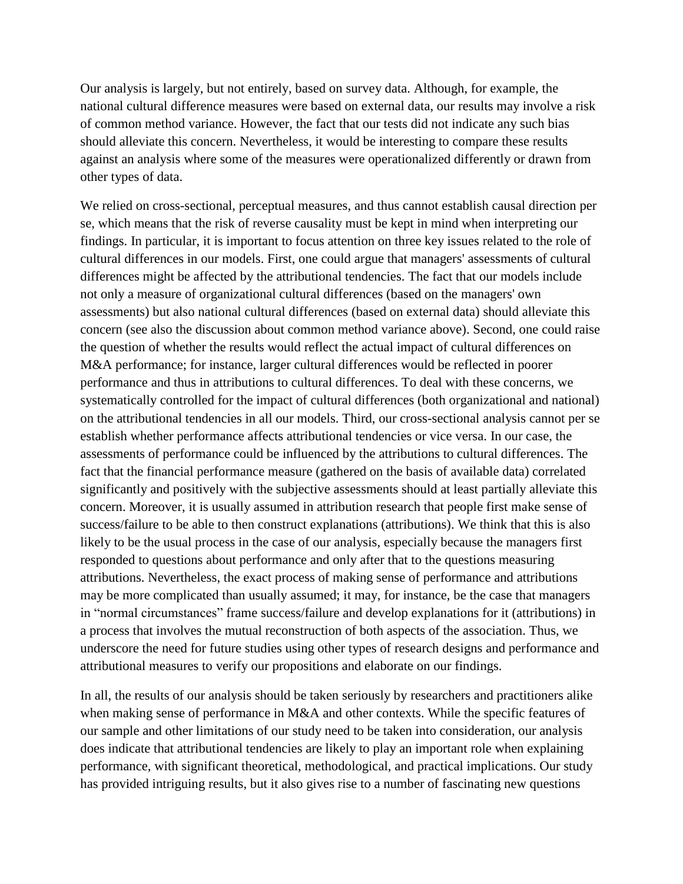Our analysis is largely, but not entirely, based on survey data. Although, for example, the national cultural difference measures were based on external data, our results may involve a risk of common method variance. However, the fact that our tests did not indicate any such bias should alleviate this concern. Nevertheless, it would be interesting to compare these results against an analysis where some of the measures were operationalized differently or drawn from other types of data.

We relied on cross-sectional, perceptual measures, and thus cannot establish causal direction per se, which means that the risk of reverse causality must be kept in mind when interpreting our findings. In particular, it is important to focus attention on three key issues related to the role of cultural differences in our models. First, one could argue that managers' assessments of cultural differences might be affected by the attributional tendencies. The fact that our models include not only a measure of organizational cultural differences (based on the managers' own assessments) but also national cultural differences (based on external data) should alleviate this concern (see also the discussion about common method variance above). Second, one could raise the question of whether the results would reflect the actual impact of cultural differences on M&A performance; for instance, larger cultural differences would be reflected in poorer performance and thus in attributions to cultural differences. To deal with these concerns, we systematically controlled for the impact of cultural differences (both organizational and national) on the attributional tendencies in all our models. Third, our cross-sectional analysis cannot per se establish whether performance affects attributional tendencies or vice versa. In our case, the assessments of performance could be influenced by the attributions to cultural differences. The fact that the financial performance measure (gathered on the basis of available data) correlated significantly and positively with the subjective assessments should at least partially alleviate this concern. Moreover, it is usually assumed in attribution research that people first make sense of success/failure to be able to then construct explanations (attributions). We think that this is also likely to be the usual process in the case of our analysis, especially because the managers first responded to questions about performance and only after that to the questions measuring attributions. Nevertheless, the exact process of making sense of performance and attributions may be more complicated than usually assumed; it may, for instance, be the case that managers in "normal circumstances" frame success/failure and develop explanations for it (attributions) in a process that involves the mutual reconstruction of both aspects of the association. Thus, we underscore the need for future studies using other types of research designs and performance and attributional measures to verify our propositions and elaborate on our findings.

In all, the results of our analysis should be taken seriously by researchers and practitioners alike when making sense of performance in M&A and other contexts. While the specific features of our sample and other limitations of our study need to be taken into consideration, our analysis does indicate that attributional tendencies are likely to play an important role when explaining performance, with significant theoretical, methodological, and practical implications. Our study has provided intriguing results, but it also gives rise to a number of fascinating new questions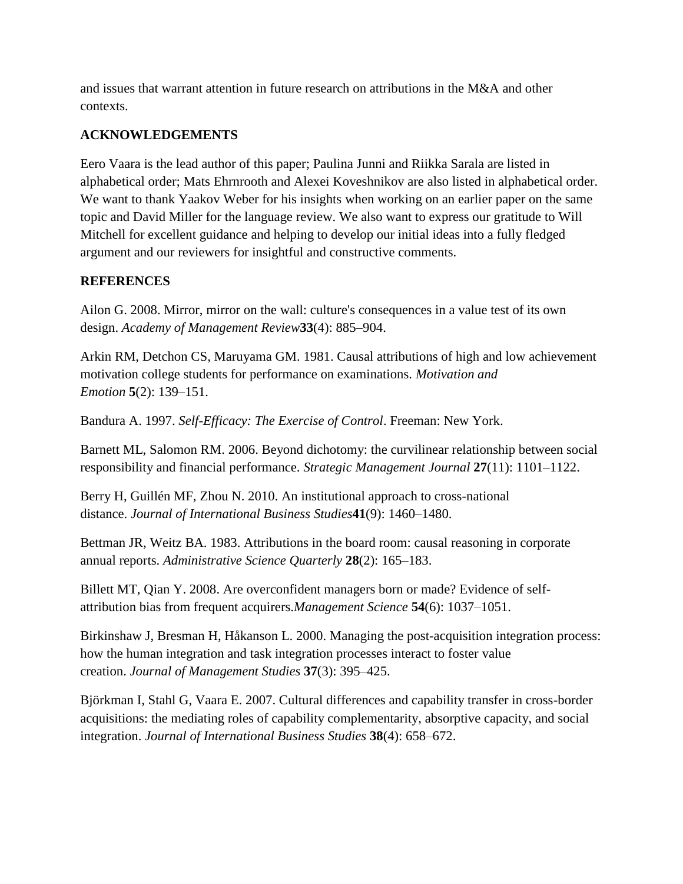and issues that warrant attention in future research on attributions in the M&A and other contexts.

### **ACKNOWLEDGEMENTS**

Eero Vaara is the lead author of this paper; Paulina Junni and Riikka Sarala are listed in alphabetical order; Mats Ehrnrooth and Alexei Koveshnikov are also listed in alphabetical order. We want to thank Yaakov Weber for his insights when working on an earlier paper on the same topic and David Miller for the language review. We also want to express our gratitude to Will Mitchell for excellent guidance and helping to develop our initial ideas into a fully fledged argument and our reviewers for insightful and constructive comments.

#### **REFERENCES**

Ailon G. 2008. Mirror, mirror on the wall: culture's consequences in a value test of its own design. *Academy of Management Review***33**(4): 885–904.

Arkin RM, Detchon CS, Maruyama GM. 1981. Causal attributions of high and low achievement motivation college students for performance on examinations. *Motivation and Emotion* **5**(2): 139–151.

Bandura A. 1997. *Self-Efficacy: The Exercise of Control*. Freeman: New York.

Barnett ML, Salomon RM. 2006. Beyond dichotomy: the curvilinear relationship between social responsibility and financial performance. *Strategic Management Journal* **27**(11): 1101–1122.

Berry H, Guillén MF, Zhou N. 2010. An institutional approach to cross-national distance. *Journal of International Business Studies***41**(9): 1460–1480.

Bettman JR, Weitz BA. 1983. Attributions in the board room: causal reasoning in corporate annual reports. *Administrative Science Quarterly* **28**(2): 165–183.

Billett MT, Qian Y. 2008. Are overconfident managers born or made? Evidence of selfattribution bias from frequent acquirers.*Management Science* **54**(6): 1037–1051.

Birkinshaw J, Bresman H, Håkanson L. 2000. Managing the post-acquisition integration process: how the human integration and task integration processes interact to foster value creation. *Journal of Management Studies* **37**(3): 395–425.

Björkman I, Stahl G, Vaara E. 2007. Cultural differences and capability transfer in cross-border acquisitions: the mediating roles of capability complementarity, absorptive capacity, and social integration. *Journal of International Business Studies* **38**(4): 658–672.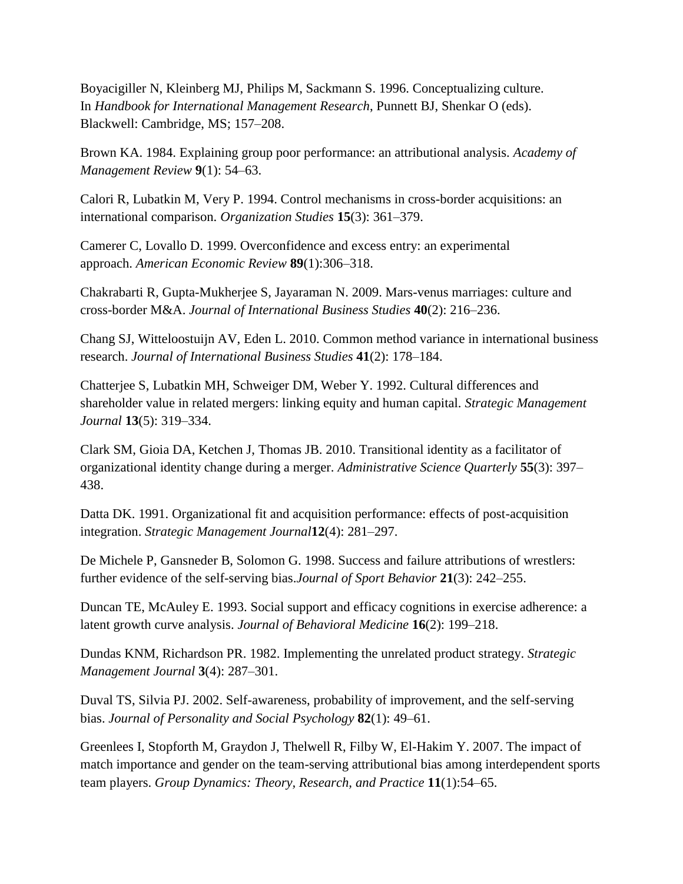Boyacigiller N, Kleinberg MJ, Philips M, Sackmann S. 1996. Conceptualizing culture. In *Handbook for International Management Research*, Punnett BJ, Shenkar O (eds). Blackwell: Cambridge, MS; 157–208.

Brown KA. 1984. Explaining group poor performance: an attributional analysis. *Academy of Management Review* **9**(1): 54–63.

Calori R, Lubatkin M, Very P. 1994. Control mechanisms in cross-border acquisitions: an international comparison. *Organization Studies* **15**(3): 361–379.

Camerer C, Lovallo D. 1999. Overconfidence and excess entry: an experimental approach. *American Economic Review* **89**(1):306–318.

Chakrabarti R, Gupta-Mukherjee S, Jayaraman N. 2009. Mars-venus marriages: culture and cross-border M&A. *Journal of International Business Studies* **40**(2): 216–236.

Chang SJ, Witteloostuijn AV, Eden L. 2010. Common method variance in international business research. *Journal of International Business Studies* **41**(2): 178–184.

Chatterjee S, Lubatkin MH, Schweiger DM, Weber Y. 1992. Cultural differences and shareholder value in related mergers: linking equity and human capital. *Strategic Management Journal* **13**(5): 319–334.

Clark SM, Gioia DA, Ketchen J, Thomas JB. 2010. Transitional identity as a facilitator of organizational identity change during a merger. *Administrative Science Quarterly* **55**(3): 397– 438.

Datta DK. 1991. Organizational fit and acquisition performance: effects of post-acquisition integration. *Strategic Management Journal***12**(4): 281–297.

De Michele P, Gansneder B, Solomon G. 1998. Success and failure attributions of wrestlers: further evidence of the self-serving bias.*Journal of Sport Behavior* **21**(3): 242–255.

Duncan TE, McAuley E. 1993. Social support and efficacy cognitions in exercise adherence: a latent growth curve analysis. *Journal of Behavioral Medicine* **16**(2): 199–218.

Dundas KNM, Richardson PR. 1982. Implementing the unrelated product strategy. *Strategic Management Journal* **3**(4): 287–301.

Duval TS, Silvia PJ. 2002. Self-awareness, probability of improvement, and the self-serving bias. *Journal of Personality and Social Psychology* **82**(1): 49–61.

Greenlees I, Stopforth M, Graydon J, Thelwell R, Filby W, El-Hakim Y. 2007. The impact of match importance and gender on the team-serving attributional bias among interdependent sports team players. *Group Dynamics: Theory, Research, and Practice* **11**(1):54–65.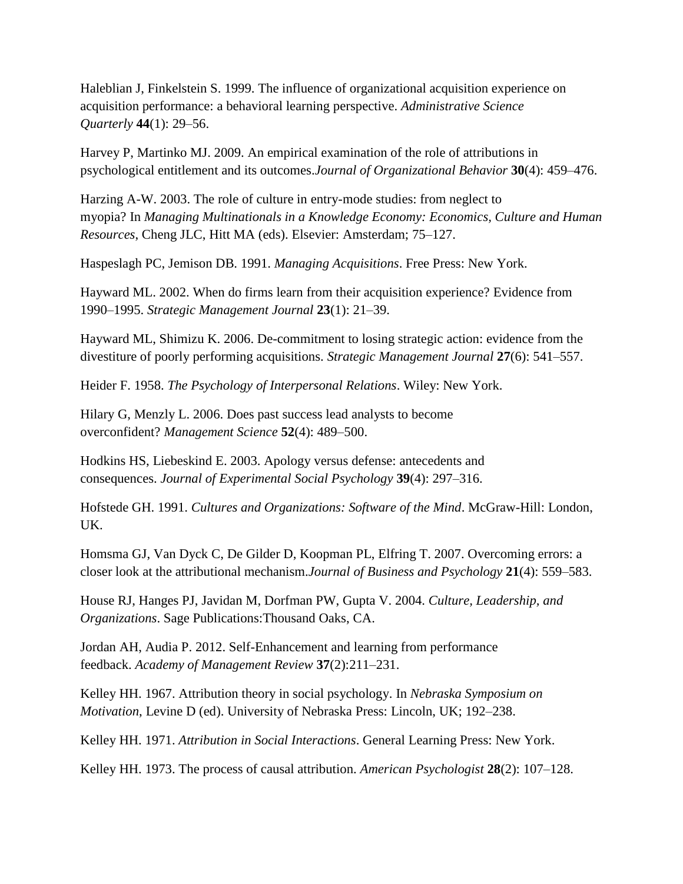Haleblian J, Finkelstein S. 1999. The influence of organizational acquisition experience on acquisition performance: a behavioral learning perspective. *Administrative Science Quarterly* **44**(1): 29–56.

Harvey P, Martinko MJ. 2009. An empirical examination of the role of attributions in psychological entitlement and its outcomes.*Journal of Organizational Behavior* **30**(4): 459–476.

Harzing A-W. 2003. The role of culture in entry-mode studies: from neglect to myopia? In *Managing Multinationals in a Knowledge Economy: Economics, Culture and Human Resources*, Cheng JLC, Hitt MA (eds). Elsevier: Amsterdam; 75–127.

Haspeslagh PC, Jemison DB. 1991. *Managing Acquisitions*. Free Press: New York.

Hayward ML. 2002. When do firms learn from their acquisition experience? Evidence from 1990–1995. *Strategic Management Journal* **23**(1): 21–39.

Hayward ML, Shimizu K. 2006. De-commitment to losing strategic action: evidence from the divestiture of poorly performing acquisitions. *Strategic Management Journal* **27**(6): 541–557.

Heider F. 1958. *The Psychology of Interpersonal Relations*. Wiley: New York.

Hilary G, Menzly L. 2006. Does past success lead analysts to become overconfident? *Management Science* **52**(4): 489–500.

Hodkins HS, Liebeskind E. 2003. Apology versus defense: antecedents and consequences. *Journal of Experimental Social Psychology* **39**(4): 297–316.

Hofstede GH. 1991. *Cultures and Organizations: Software of the Mind*. McGraw-Hill: London, UK.

Homsma GJ, Van Dyck C, De Gilder D, Koopman PL, Elfring T. 2007. Overcoming errors: a closer look at the attributional mechanism.*Journal of Business and Psychology* **21**(4): 559–583.

House RJ, Hanges PJ, Javidan M, Dorfman PW, Gupta V. 2004. *Culture, Leadership, and Organizations*. Sage Publications:Thousand Oaks, CA.

Jordan AH, Audia P. 2012. Self-Enhancement and learning from performance feedback. *Academy of Management Review* **37**(2):211–231.

Kelley HH. 1967. Attribution theory in social psychology. In *Nebraska Symposium on Motivation*, Levine D (ed). University of Nebraska Press: Lincoln, UK; 192–238.

Kelley HH. 1971. *Attribution in Social Interactions*. General Learning Press: New York.

Kelley HH. 1973. The process of causal attribution. *American Psychologist* **28**(2): 107–128.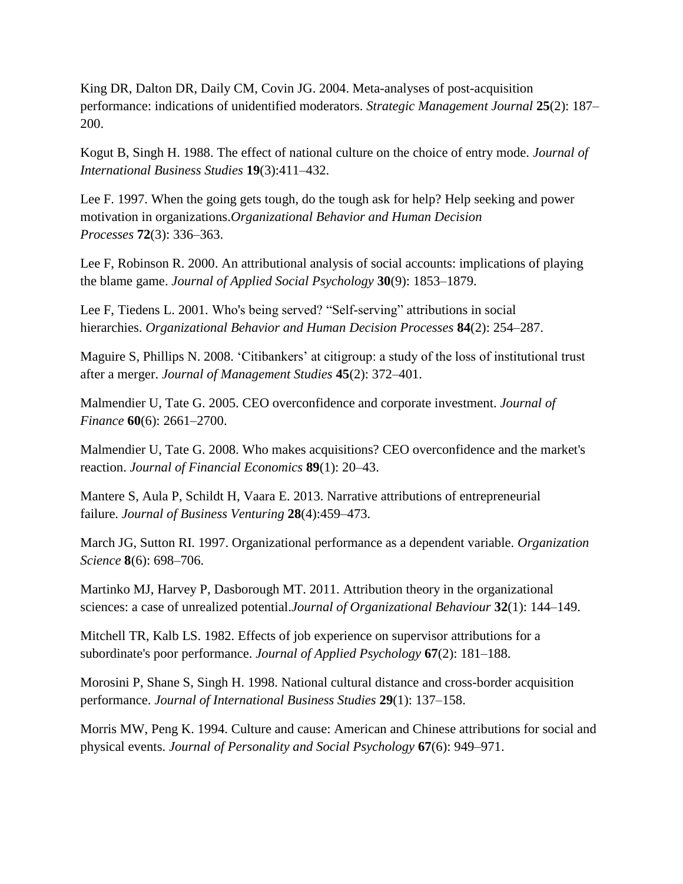King DR, Dalton DR, Daily CM, Covin JG. 2004. Meta-analyses of post-acquisition performance: indications of unidentified moderators. *Strategic Management Journal* **25**(2): 187– 200.

Kogut B, Singh H. 1988. The effect of national culture on the choice of entry mode. *Journal of International Business Studies* **19**(3):411–432.

Lee F. 1997. When the going gets tough, do the tough ask for help? Help seeking and power motivation in organizations.*Organizational Behavior and Human Decision Processes* **72**(3): 336–363.

Lee F, Robinson R. 2000. An attributional analysis of social accounts: implications of playing the blame game. *Journal of Applied Social Psychology* **30**(9): 1853–1879.

Lee F, Tiedens L. 2001. Who's being served? "Self-serving" attributions in social hierarchies. *Organizational Behavior and Human Decision Processes* **84**(2): 254–287.

Maguire S, Phillips N. 2008. 'Citibankers' at citigroup: a study of the loss of institutional trust after a merger. *Journal of Management Studies* **45**(2): 372–401.

Malmendier U, Tate G. 2005. CEO overconfidence and corporate investment. *Journal of Finance* **60**(6): 2661–2700.

Malmendier U, Tate G. 2008. Who makes acquisitions? CEO overconfidence and the market's reaction. *Journal of Financial Economics* **89**(1): 20–43.

Mantere S, Aula P, Schildt H, Vaara E. 2013. Narrative attributions of entrepreneurial failure. *Journal of Business Venturing* **28**(4):459–473.

March JG, Sutton RI. 1997. Organizational performance as a dependent variable. *Organization Science* **8**(6): 698–706.

Martinko MJ, Harvey P, Dasborough MT. 2011. Attribution theory in the organizational sciences: a case of unrealized potential.*Journal of Organizational Behaviour* **32**(1): 144–149.

Mitchell TR, Kalb LS. 1982. Effects of job experience on supervisor attributions for a subordinate's poor performance. *Journal of Applied Psychology* **67**(2): 181–188.

Morosini P, Shane S, Singh H. 1998. National cultural distance and cross-border acquisition performance. *Journal of International Business Studies* **29**(1): 137–158.

Morris MW, Peng K. 1994. Culture and cause: American and Chinese attributions for social and physical events. *Journal of Personality and Social Psychology* **67**(6): 949–971.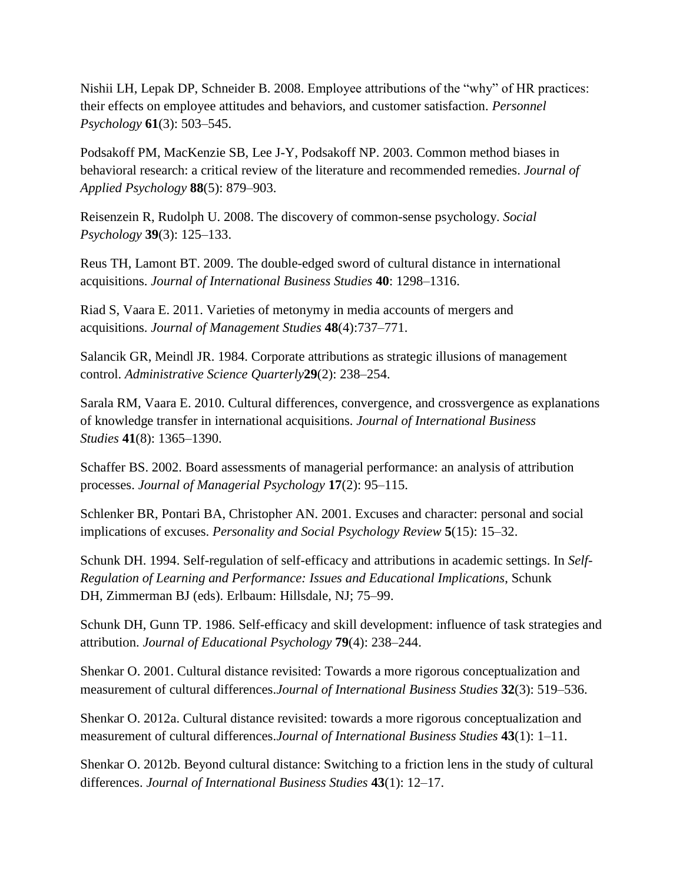Nishii LH, Lepak DP, Schneider B. 2008. Employee attributions of the "why" of HR practices: their effects on employee attitudes and behaviors, and customer satisfaction. *Personnel Psychology* **61**(3): 503–545.

Podsakoff PM, MacKenzie SB, Lee J-Y, Podsakoff NP. 2003. Common method biases in behavioral research: a critical review of the literature and recommended remedies. *Journal of Applied Psychology* **88**(5): 879–903.

Reisenzein R, Rudolph U. 2008. The discovery of common-sense psychology. *Social Psychology* **39**(3): 125–133.

Reus TH, Lamont BT. 2009. The double-edged sword of cultural distance in international acquisitions. *Journal of International Business Studies* **40**: 1298–1316.

Riad S, Vaara E. 2011. Varieties of metonymy in media accounts of mergers and acquisitions. *Journal of Management Studies* **48**(4):737–771.

Salancik GR, Meindl JR. 1984. Corporate attributions as strategic illusions of management control. *Administrative Science Quarterly***29**(2): 238–254.

Sarala RM, Vaara E. 2010. Cultural differences, convergence, and crossvergence as explanations of knowledge transfer in international acquisitions. *Journal of International Business Studies* **41**(8): 1365–1390.

Schaffer BS. 2002. Board assessments of managerial performance: an analysis of attribution processes. *Journal of Managerial Psychology* **17**(2): 95–115.

Schlenker BR, Pontari BA, Christopher AN. 2001. Excuses and character: personal and social implications of excuses. *Personality and Social Psychology Review* **5**(15): 15–32.

Schunk DH. 1994. Self-regulation of self-efficacy and attributions in academic settings. In *Self-Regulation of Learning and Performance: Issues and Educational Implications*, Schunk DH, Zimmerman BJ (eds). Erlbaum: Hillsdale, NJ; 75–99.

Schunk DH, Gunn TP. 1986. Self-efficacy and skill development: influence of task strategies and attribution. *Journal of Educational Psychology* **79**(4): 238–244.

Shenkar O. 2001. Cultural distance revisited: Towards a more rigorous conceptualization and measurement of cultural differences.*Journal of International Business Studies* **32**(3): 519–536.

Shenkar O. 2012a. Cultural distance revisited: towards a more rigorous conceptualization and measurement of cultural differences.*Journal of International Business Studies* **43**(1): 1–11.

Shenkar O. 2012b. Beyond cultural distance: Switching to a friction lens in the study of cultural differences. *Journal of International Business Studies* **43**(1): 12–17.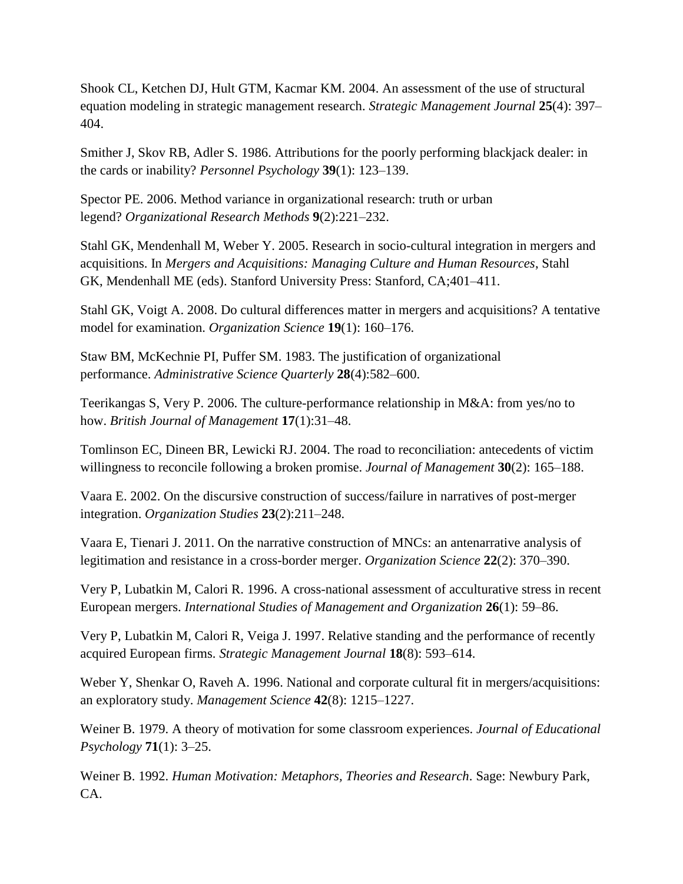Shook CL, Ketchen DJ, Hult GTM, Kacmar KM. 2004. An assessment of the use of structural equation modeling in strategic management research. *Strategic Management Journal* **25**(4): 397– 404.

Smither J, Skov RB, Adler S. 1986. Attributions for the poorly performing blackjack dealer: in the cards or inability? *Personnel Psychology* **39**(1): 123–139.

Spector PE. 2006. Method variance in organizational research: truth or urban legend? *Organizational Research Methods* **9**(2):221–232.

Stahl GK, Mendenhall M, Weber Y. 2005. Research in socio-cultural integration in mergers and acquisitions. In *Mergers and Acquisitions: Managing Culture and Human Resources*, Stahl GK, Mendenhall ME (eds). Stanford University Press: Stanford, CA;401–411.

Stahl GK, Voigt A. 2008. Do cultural differences matter in mergers and acquisitions? A tentative model for examination. *Organization Science* **19**(1): 160–176.

Staw BM, McKechnie PI, Puffer SM. 1983. The justification of organizational performance. *Administrative Science Quarterly* **28**(4):582–600.

Teerikangas S, Very P. 2006. The culture-performance relationship in M&A: from yes/no to how. *British Journal of Management* **17**(1):31–48.

Tomlinson EC, Dineen BR, Lewicki RJ. 2004. The road to reconciliation: antecedents of victim willingness to reconcile following a broken promise. *Journal of Management* **30**(2): 165–188.

Vaara E. 2002. On the discursive construction of success/failure in narratives of post-merger integration. *Organization Studies* **23**(2):211–248.

Vaara E, Tienari J. 2011. On the narrative construction of MNCs: an antenarrative analysis of legitimation and resistance in a cross-border merger. *Organization Science* **22**(2): 370–390.

Very P, Lubatkin M, Calori R. 1996. A cross-national assessment of acculturative stress in recent European mergers. *International Studies of Management and Organization* **26**(1): 59–86.

Very P, Lubatkin M, Calori R, Veiga J. 1997. Relative standing and the performance of recently acquired European firms. *Strategic Management Journal* **18**(8): 593–614.

Weber Y, Shenkar O, Raveh A. 1996. National and corporate cultural fit in mergers/acquisitions: an exploratory study. *Management Science* **42**(8): 1215–1227.

Weiner B. 1979. A theory of motivation for some classroom experiences. *Journal of Educational Psychology* **71**(1): 3–25.

Weiner B. 1992. *Human Motivation: Metaphors, Theories and Research*. Sage: Newbury Park, CA.